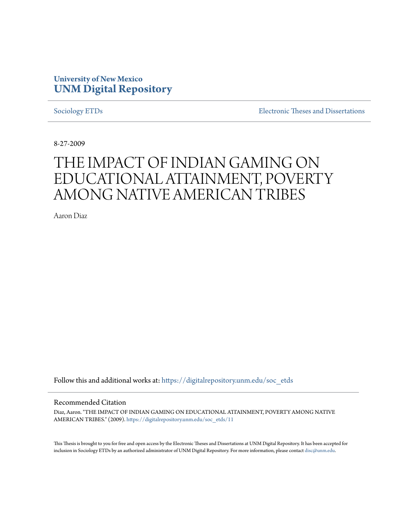# **University of New Mexico [UNM Digital Repository](https://digitalrepository.unm.edu?utm_source=digitalrepository.unm.edu%2Fsoc_etds%2F11&utm_medium=PDF&utm_campaign=PDFCoverPages)**

[Sociology ETDs](https://digitalrepository.unm.edu/soc_etds?utm_source=digitalrepository.unm.edu%2Fsoc_etds%2F11&utm_medium=PDF&utm_campaign=PDFCoverPages) [Electronic Theses and Dissertations](https://digitalrepository.unm.edu/etds?utm_source=digitalrepository.unm.edu%2Fsoc_etds%2F11&utm_medium=PDF&utm_campaign=PDFCoverPages)

8-27-2009

# THE IMPACT OF INDIAN GAMING ON EDUCATIONAL ATTAINMENT, POVERTY AMONG NATIVE AMERICAN TRIBES

Aaron Diaz

Follow this and additional works at: [https://digitalrepository.unm.edu/soc\\_etds](https://digitalrepository.unm.edu/soc_etds?utm_source=digitalrepository.unm.edu%2Fsoc_etds%2F11&utm_medium=PDF&utm_campaign=PDFCoverPages)

#### Recommended Citation

Diaz, Aaron. "THE IMPACT OF INDIAN GAMING ON EDUCATIONAL ATTAINMENT, POVERTY AMONG NATIVE AMERICAN TRIBES." (2009). [https://digitalrepository.unm.edu/soc\\_etds/11](https://digitalrepository.unm.edu/soc_etds/11?utm_source=digitalrepository.unm.edu%2Fsoc_etds%2F11&utm_medium=PDF&utm_campaign=PDFCoverPages)

This Thesis is brought to you for free and open access by the Electronic Theses and Dissertations at UNM Digital Repository. It has been accepted for inclusion in Sociology ETDs by an authorized administrator of UNM Digital Repository. For more information, please contact [disc@unm.edu.](mailto:disc@unm.edu)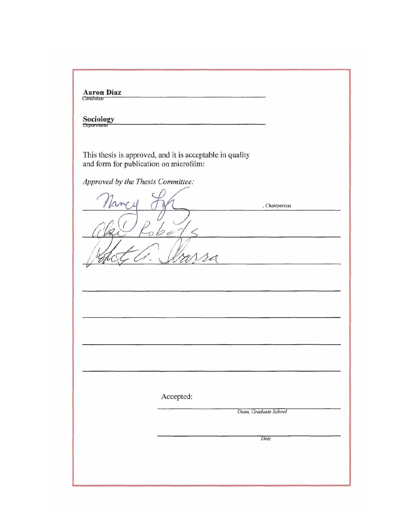| Sociology<br>Department                |                                                          |                       |
|----------------------------------------|----------------------------------------------------------|-----------------------|
| and form for publication on microfilm: | This thesis is approved, and it is acceptable in quality |                       |
| Approved by the Thesis Committee:      |                                                          |                       |
|                                        |                                                          | , Chairperson         |
|                                        |                                                          |                       |
|                                        | M                                                        |                       |
|                                        |                                                          |                       |
|                                        |                                                          |                       |
|                                        |                                                          |                       |
|                                        |                                                          |                       |
|                                        |                                                          |                       |
|                                        |                                                          |                       |
|                                        |                                                          |                       |
|                                        |                                                          |                       |
|                                        | Accepted:                                                |                       |
|                                        |                                                          | Dean. Graduate School |
|                                        |                                                          |                       |
|                                        |                                                          | Date                  |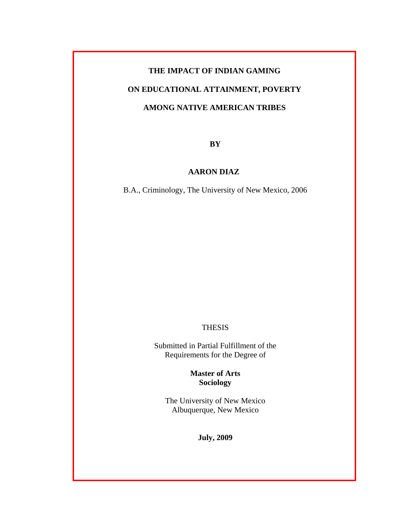# **THE IMPACT OF INDIAN GAMING**

# **ON EDUCATIONAL ATTAINMENT, POVERTY**

## **AMONG NATIVE AMERICAN TRIBES**

**BY**

## **AARON DIAZ**

B.A., Criminology, The University of New Mexico, 2006

#### THESIS

Submitted in Partial Fulfillment of the Requirements for the Degree of

## **Master of Arts Sociology**

The University of New Mexico Albuquerque, New Mexico

**July, 2009**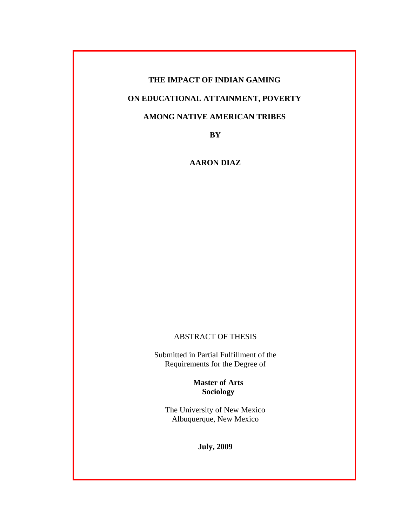## **THE IMPACT OF INDIAN GAMING**

## **ON EDUCATIONAL ATTAINMENT, POVERTY**

## **AMONG NATIVE AMERICAN TRIBES**

**BY** 

**AARON DIAZ** 

## ABSTRACT OF THESIS

Submitted in Partial Fulfillment of the Requirements for the Degree of

> **Master of Arts Sociology**

The University of New Mexico Albuquerque, New Mexico

**July, 2009**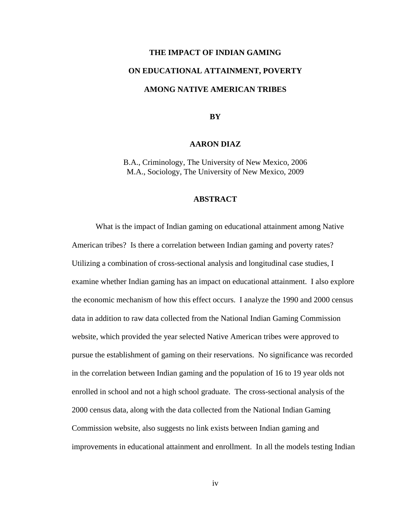#### **THE IMPACT OF INDIAN GAMING**

## **ON EDUCATIONAL ATTAINMENT, POVERTY**

### **AMONG NATIVE AMERICAN TRIBES**

**BY** 

#### **AARON DIAZ**

B.A., Criminology, The University of New Mexico, 2006 M.A., Sociology, The University of New Mexico, 2009

#### **ABSTRACT**

What is the impact of Indian gaming on educational attainment among Native American tribes? Is there a correlation between Indian gaming and poverty rates? Utilizing a combination of cross-sectional analysis and longitudinal case studies, I examine whether Indian gaming has an impact on educational attainment. I also explore the economic mechanism of how this effect occurs. I analyze the 1990 and 2000 census data in addition to raw data collected from the National Indian Gaming Commission website, which provided the year selected Native American tribes were approved to pursue the establishment of gaming on their reservations. No significance was recorded in the correlation between Indian gaming and the population of 16 to 19 year olds not enrolled in school and not a high school graduate. The cross-sectional analysis of the 2000 census data, along with the data collected from the National Indian Gaming Commission website, also suggests no link exists between Indian gaming and improvements in educational attainment and enrollment. In all the models testing Indian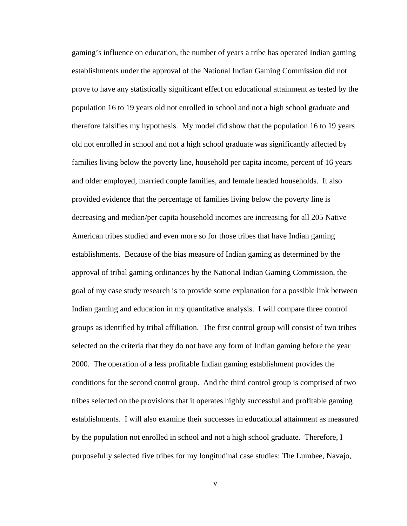gaming's influence on education, the number of years a tribe has operated Indian gaming establishments under the approval of the National Indian Gaming Commission did not prove to have any statistically significant effect on educational attainment as tested by the population 16 to 19 years old not enrolled in school and not a high school graduate and therefore falsifies my hypothesis. My model did show that the population 16 to 19 years old not enrolled in school and not a high school graduate was significantly affected by families living below the poverty line, household per capita income, percent of 16 years and older employed, married couple families, and female headed households. It also provided evidence that the percentage of families living below the poverty line is decreasing and median/per capita household incomes are increasing for all 205 Native American tribes studied and even more so for those tribes that have Indian gaming establishments. Because of the bias measure of Indian gaming as determined by the approval of tribal gaming ordinances by the National Indian Gaming Commission, the goal of my case study research is to provide some explanation for a possible link between Indian gaming and education in my quantitative analysis. I will compare three control groups as identified by tribal affiliation. The first control group will consist of two tribes selected on the criteria that they do not have any form of Indian gaming before the year 2000. The operation of a less profitable Indian gaming establishment provides the conditions for the second control group. And the third control group is comprised of two tribes selected on the provisions that it operates highly successful and profitable gaming establishments. I will also examine their successes in educational attainment as measured by the population not enrolled in school and not a high school graduate. Therefore, I purposefully selected five tribes for my longitudinal case studies: The Lumbee, Navajo,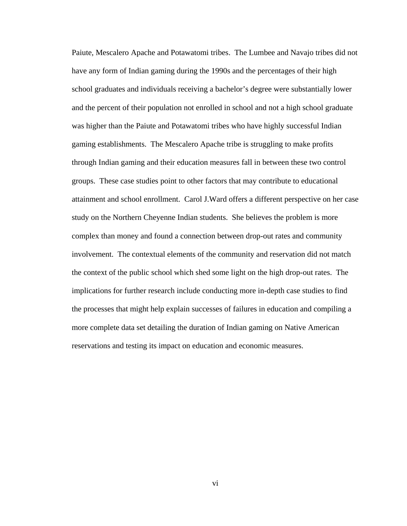Paiute, Mescalero Apache and Potawatomi tribes. The Lumbee and Navajo tribes did not have any form of Indian gaming during the 1990s and the percentages of their high school graduates and individuals receiving a bachelor's degree were substantially lower and the percent of their population not enrolled in school and not a high school graduate was higher than the Paiute and Potawatomi tribes who have highly successful Indian gaming establishments. The Mescalero Apache tribe is struggling to make profits through Indian gaming and their education measures fall in between these two control groups. These case studies point to other factors that may contribute to educational attainment and school enrollment. Carol J.Ward offers a different perspective on her case study on the Northern Cheyenne Indian students. She believes the problem is more complex than money and found a connection between drop-out rates and community involvement. The contextual elements of the community and reservation did not match the context of the public school which shed some light on the high drop-out rates. The implications for further research include conducting more in-depth case studies to find the processes that might help explain successes of failures in education and compiling a more complete data set detailing the duration of Indian gaming on Native American reservations and testing its impact on education and economic measures.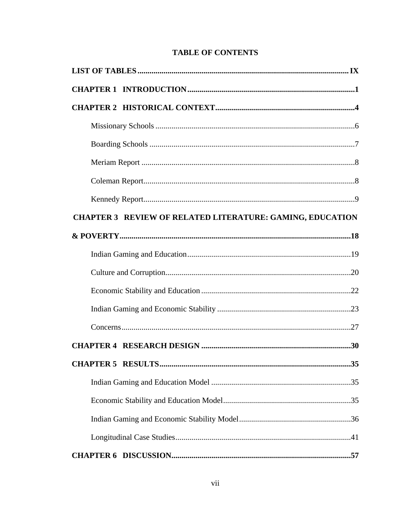|  |  | <b>TABLE OF CONTENTS</b> |
|--|--|--------------------------|
|--|--|--------------------------|

| <b>CHAPTER 3 REVIEW OF RELATED LITERATURE: GAMING, EDUCATION</b> |     |
|------------------------------------------------------------------|-----|
|                                                                  |     |
|                                                                  |     |
|                                                                  |     |
|                                                                  |     |
|                                                                  |     |
|                                                                  |     |
|                                                                  |     |
| <b>CHAPTER 5 RESULTS</b>                                         | .35 |
|                                                                  |     |
|                                                                  |     |
|                                                                  |     |
|                                                                  |     |
|                                                                  |     |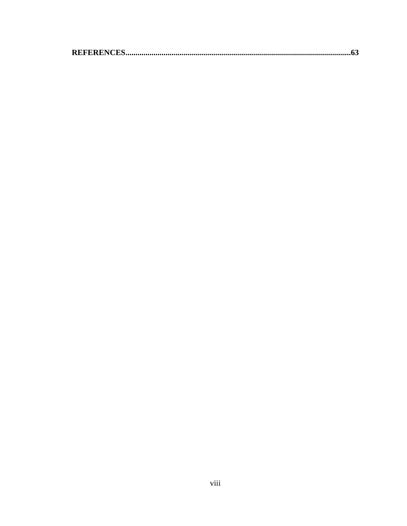|--|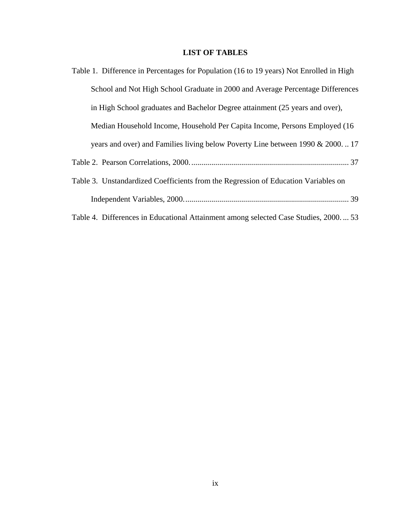## **LIST OF TABLES**

| Table 1. Difference in Percentages for Population (16 to 19 years) Not Enrolled in High |
|-----------------------------------------------------------------------------------------|
| School and Not High School Graduate in 2000 and Average Percentage Differences          |
| in High School graduates and Bachelor Degree attainment (25 years and over),            |
| Median Household Income, Household Per Capita Income, Persons Employed (16)             |
| years and over) and Families living below Poverty Line between 1990 & 200017            |
|                                                                                         |
| Table 3. Unstandardized Coefficients from the Regression of Education Variables on      |
|                                                                                         |
| Table 4. Differences in Educational Attainment among selected Case Studies, 2000 53     |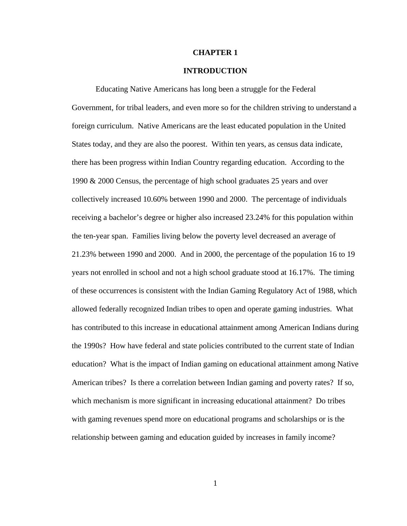#### **CHAPTER 1**

#### **INTRODUCTION**

Educating Native Americans has long been a struggle for the Federal Government, for tribal leaders, and even more so for the children striving to understand a foreign curriculum. Native Americans are the least educated population in the United States today, and they are also the poorest. Within ten years, as census data indicate, there has been progress within Indian Country regarding education. According to the 1990 & 2000 Census, the percentage of high school graduates 25 years and over collectively increased 10.60% between 1990 and 2000. The percentage of individuals receiving a bachelor's degree or higher also increased 23.24% for this population within the ten-year span. Families living below the poverty level decreased an average of 21.23% between 1990 and 2000. And in 2000, the percentage of the population 16 to 19 years not enrolled in school and not a high school graduate stood at 16.17%. The timing of these occurrences is consistent with the Indian Gaming Regulatory Act of 1988, which allowed federally recognized Indian tribes to open and operate gaming industries. What has contributed to this increase in educational attainment among American Indians during the 1990s? How have federal and state policies contributed to the current state of Indian education? What is the impact of Indian gaming on educational attainment among Native American tribes? Is there a correlation between Indian gaming and poverty rates? If so, which mechanism is more significant in increasing educational attainment? Do tribes with gaming revenues spend more on educational programs and scholarships or is the relationship between gaming and education guided by increases in family income?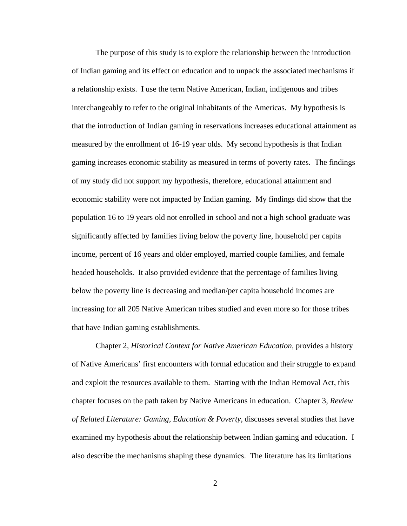The purpose of this study is to explore the relationship between the introduction of Indian gaming and its effect on education and to unpack the associated mechanisms if a relationship exists. I use the term Native American, Indian, indigenous and tribes interchangeably to refer to the original inhabitants of the Americas. My hypothesis is that the introduction of Indian gaming in reservations increases educational attainment as measured by the enrollment of 16-19 year olds. My second hypothesis is that Indian gaming increases economic stability as measured in terms of poverty rates. The findings of my study did not support my hypothesis, therefore, educational attainment and economic stability were not impacted by Indian gaming. My findings did show that the population 16 to 19 years old not enrolled in school and not a high school graduate was significantly affected by families living below the poverty line, household per capita income, percent of 16 years and older employed, married couple families, and female headed households. It also provided evidence that the percentage of families living below the poverty line is decreasing and median/per capita household incomes are increasing for all 205 Native American tribes studied and even more so for those tribes that have Indian gaming establishments.

Chapter 2, *Historical Context for Native American Education,* provides a history of Native Americans' first encounters with formal education and their struggle to expand and exploit the resources available to them. Starting with the Indian Removal Act, this chapter focuses on the path taken by Native Americans in education. Chapter 3, *Review of Related Literature: Gaming, Education & Poverty*, discusses several studies that have examined my hypothesis about the relationship between Indian gaming and education. I also describe the mechanisms shaping these dynamics. The literature has its limitations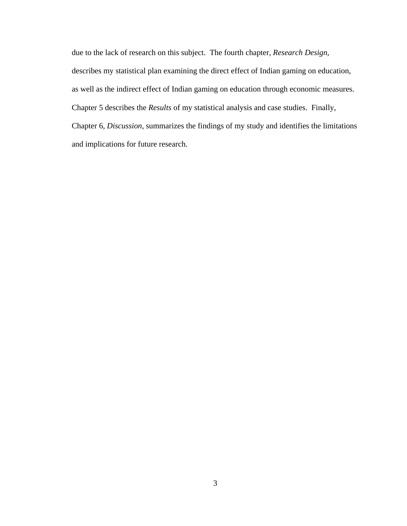due to the lack of research on this subject. The fourth chapter, *Research Design*, describes my statistical plan examining the direct effect of Indian gaming on education, as well as the indirect effect of Indian gaming on education through economic measures. Chapter 5 describes the *Results* of my statistical analysis and case studies. Finally, Chapter 6, *Discussion*, summarizes the findings of my study and identifies the limitations and implications for future research.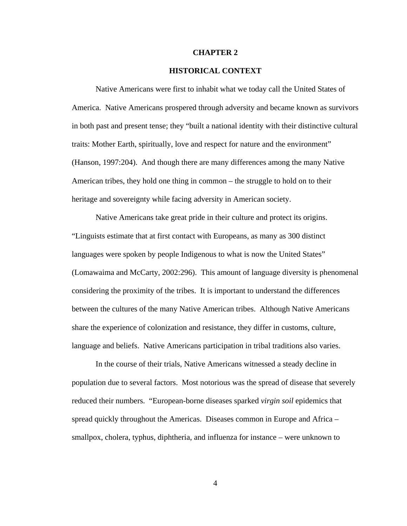#### **CHAPTER 2**

#### **HISTORICAL CONTEXT**

 Native Americans were first to inhabit what we today call the United States of America. Native Americans prospered through adversity and became known as survivors in both past and present tense; they "built a national identity with their distinctive cultural traits: Mother Earth, spiritually, love and respect for nature and the environment" (Hanson, 1997:204). And though there are many differences among the many Native American tribes, they hold one thing in common – the struggle to hold on to their heritage and sovereignty while facing adversity in American society.

Native Americans take great pride in their culture and protect its origins. "Linguists estimate that at first contact with Europeans, as many as 300 distinct languages were spoken by people Indigenous to what is now the United States" (Lomawaima and McCarty, 2002:296). This amount of language diversity is phenomenal considering the proximity of the tribes. It is important to understand the differences between the cultures of the many Native American tribes. Although Native Americans share the experience of colonization and resistance, they differ in customs, culture, language and beliefs. Native Americans participation in tribal traditions also varies.

In the course of their trials, Native Americans witnessed a steady decline in population due to several factors. Most notorious was the spread of disease that severely reduced their numbers. "European-borne diseases sparked *virgin soil* epidemics that spread quickly throughout the Americas. Diseases common in Europe and Africa – smallpox, cholera, typhus, diphtheria, and influenza for instance – were unknown to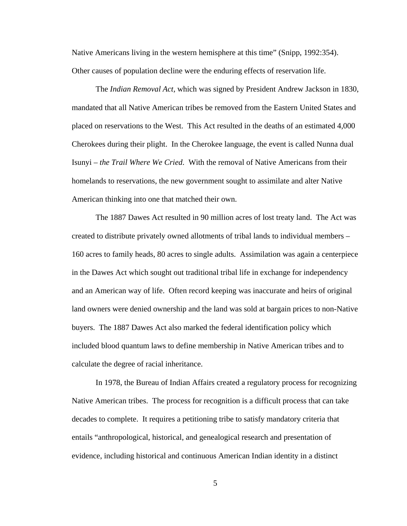Native Americans living in the western hemisphere at this time" (Snipp, 1992:354). Other causes of population decline were the enduring effects of reservation life.

The *Indian Removal Act,* which was signed by President Andrew Jackson in 1830, mandated that all Native American tribes be removed from the Eastern United States and placed on reservations to the West. This Act resulted in the deaths of an estimated 4,000 Cherokees during their plight. In the Cherokee language, the event is called Nunna dual Isunyi – *the Trail Where We Cried*. With the removal of Native Americans from their homelands to reservations, the new government sought to assimilate and alter Native American thinking into one that matched their own.

The 1887 Dawes Act resulted in 90 million acres of lost treaty land. The Act was created to distribute privately owned allotments of tribal lands to individual members – 160 acres to family heads, 80 acres to single adults. Assimilation was again a centerpiece in the Dawes Act which sought out traditional tribal life in exchange for independency and an American way of life. Often record keeping was inaccurate and heirs of original land owners were denied ownership and the land was sold at bargain prices to non-Native buyers. The 1887 Dawes Act also marked the federal identification policy which included blood quantum laws to define membership in Native American tribes and to calculate the degree of racial inheritance.

In 1978, the Bureau of Indian Affairs created a regulatory process for recognizing Native American tribes. The process for recognition is a difficult process that can take decades to complete. It requires a petitioning tribe to satisfy mandatory criteria that entails "anthropological, historical, and genealogical research and presentation of evidence, including historical and continuous American Indian identity in a distinct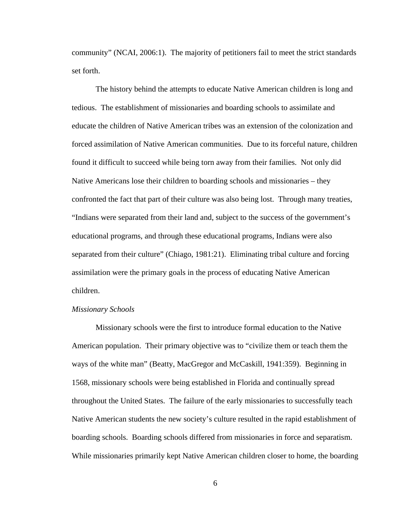<span id="page-15-0"></span>community" (NCAI, 2006:1). The majority of petitioners fail to meet the strict standards set forth.

The history behind the attempts to educate Native American children is long and tedious. The establishment of missionaries and boarding schools to assimilate and educate the children of Native American tribes was an extension of the colonization and forced assimilation of Native American communities. Due to its forceful nature, children found it difficult to succeed while being torn away from their families. Not only did Native Americans lose their children to boarding schools and missionaries – they confronted the fact that part of their culture was also being lost. Through many treaties, "Indians were separated from their land and, subject to the success of the government's educational programs, and through these educational programs, Indians were also separated from their culture" (Chiago, 1981:21). Eliminating tribal culture and forcing assimilation were the primary goals in the process of educating Native American children.

#### *Missionary Schools*

Missionary schools were the first to introduce formal education to the Native American population. Their primary objective was to "civilize them or teach them the ways of the white man" (Beatty, MacGregor and McCaskill, 1941:359). Beginning in 1568, missionary schools were being established in Florida and continually spread throughout the United States. The failure of the early missionaries to successfully teach Native American students the new society's culture resulted in the rapid establishment of boarding schools. Boarding schools differed from missionaries in force and separatism. While missionaries primarily kept Native American children closer to home, the boarding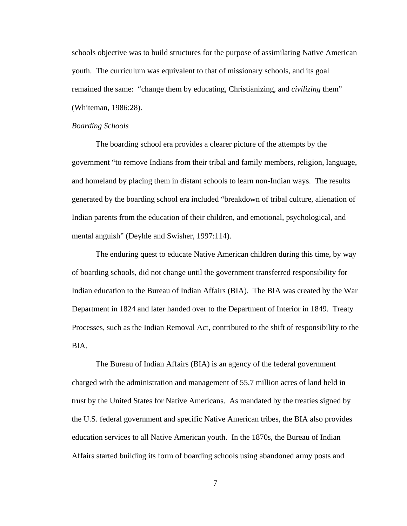<span id="page-16-0"></span>schools objective was to build structures for the purpose of assimilating Native American youth. The curriculum was equivalent to that of missionary schools, and its goal remained the same: "change them by educating, Christianizing, and *civilizing* them" (Whiteman, 1986:28).

#### *Boarding Schools*

The boarding school era provides a clearer picture of the attempts by the government "to remove Indians from their tribal and family members, religion, language, and homeland by placing them in distant schools to learn non-Indian ways. The results generated by the boarding school era included "breakdown of tribal culture, alienation of Indian parents from the education of their children, and emotional, psychological, and mental anguish" (Deyhle and Swisher, 1997:114).

The enduring quest to educate Native American children during this time, by way of boarding schools, did not change until the government transferred responsibility for Indian education to the Bureau of Indian Affairs (BIA). The BIA was created by the War Department in 1824 and later handed over to the Department of Interior in 1849. Treaty Processes, such as the Indian Removal Act, contributed to the shift of responsibility to the BIA.

 The Bureau of Indian Affairs (BIA) is an agency of the federal government charged with the administration and management of 55.7 million acres of land held in trust by the United States for Native Americans. As mandated by the treaties signed by the U.S. federal government and specific Native American tribes, the BIA also provides education services to all Native American youth. In the 1870s, the Bureau of Indian Affairs started building its form of boarding schools using abandoned army posts and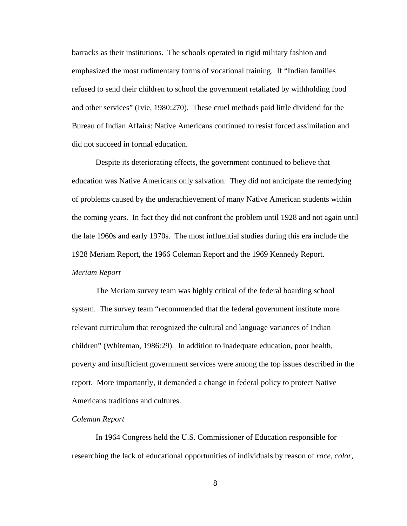<span id="page-17-0"></span>barracks as their institutions. The schools operated in rigid military fashion and emphasized the most rudimentary forms of vocational training. If "Indian families refused to send their children to school the government retaliated by withholding food and other services" (Ivie, 1980:270). These cruel methods paid little dividend for the Bureau of Indian Affairs: Native Americans continued to resist forced assimilation and did not succeed in formal education.

 Despite its deteriorating effects, the government continued to believe that education was Native Americans only salvation. They did not anticipate the remedying of problems caused by the underachievement of many Native American students within the coming years. In fact they did not confront the problem until 1928 and not again until the late 1960s and early 1970s. The most influential studies during this era include the 1928 Meriam Report, the 1966 Coleman Report and the 1969 Kennedy Report. *Meriam Report* 

The Meriam survey team was highly critical of the federal boarding school system. The survey team "recommended that the federal government institute more relevant curriculum that recognized the cultural and language variances of Indian children" (Whiteman, 1986:29). In addition to inadequate education, poor health, poverty and insufficient government services were among the top issues described in the report. More importantly, it demanded a change in federal policy to protect Native Americans traditions and cultures.

#### *Coleman Report*

In 1964 Congress held the U.S. Commissioner of Education responsible for researching the lack of educational opportunities of individuals by reason of *race, color,*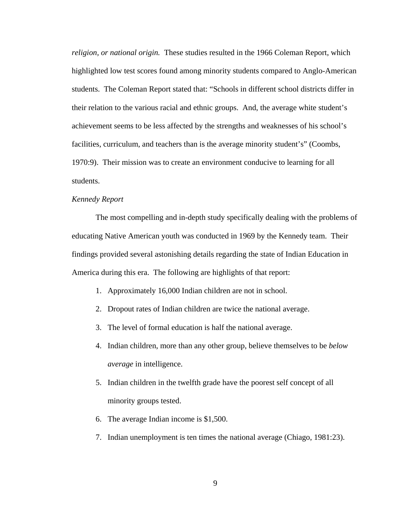<span id="page-18-0"></span>*religion, or national origin.* These studies resulted in the 1966 Coleman Report, which highlighted low test scores found among minority students compared to Anglo-American students. The Coleman Report stated that: "Schools in different school districts differ in their relation to the various racial and ethnic groups. And, the average white student's achievement seems to be less affected by the strengths and weaknesses of his school's facilities, curriculum, and teachers than is the average minority student's" (Coombs, 1970:9). Their mission was to create an environment conducive to learning for all students.

#### *Kennedy Report*

 The most compelling and in-depth study specifically dealing with the problems of educating Native American youth was conducted in 1969 by the Kennedy team. Their findings provided several astonishing details regarding the state of Indian Education in America during this era. The following are highlights of that report:

- 1. Approximately 16,000 Indian children are not in school.
- 2. Dropout rates of Indian children are twice the national average.
- 3. The level of formal education is half the national average.
- 4. Indian children, more than any other group, believe themselves to be *below average* in intelligence.
- 5. Indian children in the twelfth grade have the poorest self concept of all minority groups tested.
- 6. The average Indian income is \$1,500.
- 7. Indian unemployment is ten times the national average (Chiago, 1981:23).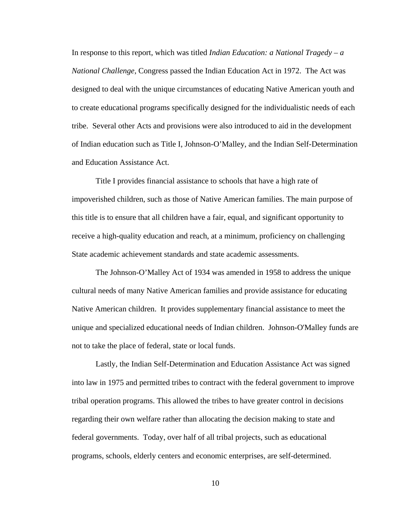In response to this report, which was titled *Indian Education: a National Tragedy – a National Challenge*, Congress passed the Indian Education Act in 1972. The Act was designed to deal with the unique circumstances of educating Native American youth and to create educational programs specifically designed for the individualistic needs of each tribe. Several other Acts and provisions were also introduced to aid in the development of Indian education such as Title I, Johnson-O'Malley, and the Indian Self-Determination and Education Assistance Act.

Title I provides financial assistance to schools that have a high rate of impoverished children, such as those of Native American families. The main purpose of this title is to ensure that all children have a fair, equal, and significant opportunity to receive a high-quality education and reach, at a minimum, proficiency on challenging State academic achievement standards and state academic assessments.

The Johnson-O'Malley Act of 1934 was amended in 1958 to address the unique cultural needs of many Native American families and provide assistance for educating Native American children. It provides supplementary financial assistance to meet the unique and specialized educational needs of Indian children. Johnson-O'Malley funds are not to take the place of federal, state or local funds.

Lastly, the Indian Self-Determination and Education Assistance Act was signed into law in 1975 and permitted tribes to contract with the federal government to improve tribal operation programs. This allowed the tribes to have greater control in decisions regarding their own welfare rather than allocating the decision making to state and federal governments. Today, over half of all tribal projects, such as educational programs, schools, elderly centers and economic enterprises, are self-determined.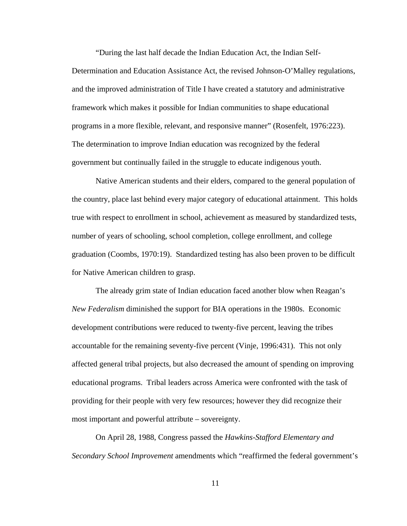"During the last half decade the Indian Education Act, the Indian Self-

Determination and Education Assistance Act, the revised Johnson-O'Malley regulations, and the improved administration of Title I have created a statutory and administrative framework which makes it possible for Indian communities to shape educational programs in a more flexible, relevant, and responsive manner" (Rosenfelt, 1976:223). The determination to improve Indian education was recognized by the federal government but continually failed in the struggle to educate indigenous youth.

Native American students and their elders, compared to the general population of the country, place last behind every major category of educational attainment. This holds true with respect to enrollment in school, achievement as measured by standardized tests, number of years of schooling, school completion, college enrollment, and college graduation (Coombs, 1970:19). Standardized testing has also been proven to be difficult for Native American children to grasp.

 The already grim state of Indian education faced another blow when Reagan's *New Federalism* diminished the support for BIA operations in the 1980s. Economic development contributions were reduced to twenty-five percent, leaving the tribes accountable for the remaining seventy-five percent (Vinje, 1996:431). This not only affected general tribal projects, but also decreased the amount of spending on improving educational programs. Tribal leaders across America were confronted with the task of providing for their people with very few resources; however they did recognize their most important and powerful attribute – sovereignty.

 On April 28, 1988, Congress passed the *Hawkins-Stafford Elementary and Secondary School Improvement* amendments which "reaffirmed the federal government's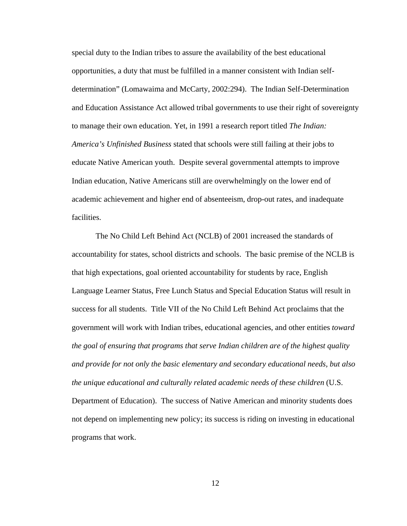special duty to the Indian tribes to assure the availability of the best educational opportunities, a duty that must be fulfilled in a manner consistent with Indian selfdetermination" (Lomawaima and McCarty, 2002:294). The Indian Self-Determination and Education Assistance Act allowed tribal governments to use their right of sovereignty to manage their own education. Yet, in 1991 a research report titled *The Indian: America's Unfinished Business* stated that schools were still failing at their jobs to educate Native American youth. Despite several governmental attempts to improve Indian education, Native Americans still are overwhelmingly on the lower end of academic achievement and higher end of absenteeism, drop-out rates, and inadequate facilities.

 The No Child Left Behind Act (NCLB) of 2001 increased the standards of accountability for states, school districts and schools. The basic premise of the NCLB is that high expectations, goal oriented accountability for students by race, English Language Learner Status, Free Lunch Status and Special Education Status will result in success for all students. Title VII of the No Child Left Behind Act proclaims that the government will work with Indian tribes, educational agencies, and other entities *toward the goal of ensuring that programs that serve Indian children are of the highest quality and provide for not only the basic elementary and secondary educational needs, but also the unique educational and culturally related academic needs of these children* (U.S. Department of Education). The success of Native American and minority students does not depend on implementing new policy; its success is riding on investing in educational programs that work.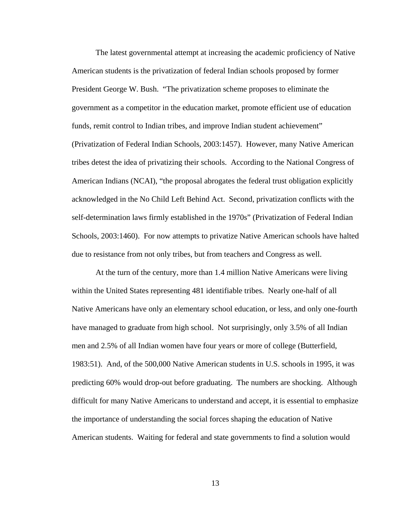The latest governmental attempt at increasing the academic proficiency of Native American students is the privatization of federal Indian schools proposed by former President George W. Bush. "The privatization scheme proposes to eliminate the government as a competitor in the education market, promote efficient use of education funds, remit control to Indian tribes, and improve Indian student achievement" (Privatization of Federal Indian Schools, 2003:1457). However, many Native American tribes detest the idea of privatizing their schools. According to the National Congress of American Indians (NCAI), "the proposal abrogates the federal trust obligation explicitly acknowledged in the No Child Left Behind Act. Second, privatization conflicts with the self-determination laws firmly established in the 1970s" (Privatization of Federal Indian Schools, 2003:1460). For now attempts to privatize Native American schools have halted due to resistance from not only tribes, but from teachers and Congress as well.

At the turn of the century, more than 1.4 million Native Americans were living within the United States representing 481 identifiable tribes. Nearly one-half of all Native Americans have only an elementary school education, or less, and only one-fourth have managed to graduate from high school. Not surprisingly, only 3.5% of all Indian men and 2.5% of all Indian women have four years or more of college (Butterfield, 1983:51). And, of the 500,000 Native American students in U.S. schools in 1995, it was predicting 60% would drop-out before graduating. The numbers are shocking. Although difficult for many Native Americans to understand and accept, it is essential to emphasize the importance of understanding the social forces shaping the education of Native American students. Waiting for federal and state governments to find a solution would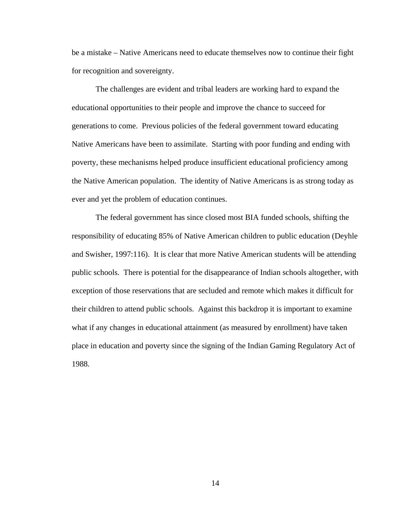be a mistake – Native Americans need to educate themselves now to continue their fight for recognition and sovereignty.

The challenges are evident and tribal leaders are working hard to expand the educational opportunities to their people and improve the chance to succeed for generations to come. Previous policies of the federal government toward educating Native Americans have been to assimilate. Starting with poor funding and ending with poverty, these mechanisms helped produce insufficient educational proficiency among the Native American population. The identity of Native Americans is as strong today as ever and yet the problem of education continues.

The federal government has since closed most BIA funded schools, shifting the responsibility of educating 85% of Native American children to public education (Deyhle and Swisher, 1997:116). It is clear that more Native American students will be attending public schools. There is potential for the disappearance of Indian schools altogether, with exception of those reservations that are secluded and remote which makes it difficult for their children to attend public schools. Against this backdrop it is important to examine what if any changes in educational attainment (as measured by enrollment) have taken place in education and poverty since the signing of the Indian Gaming Regulatory Act of 1988.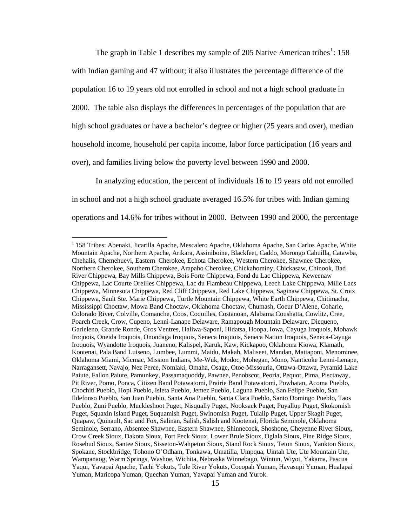<span id="page-24-0"></span>The graph in Table [1](#page-24-0) describes my sample of 205 Native American tribes<sup>1</sup>: 158 with Indian gaming and 47 without; it also illustrates the percentage difference of the population 16 to 19 years old not enrolled in school and not a high school graduate in 2000. The table also displays the differences in percentages of the population that are high school graduates or have a bachelor's degree or higher (25 years and over), median household income, household per capita income, labor force participation (16 years and over), and families living below the poverty level between 1990 and 2000.

In analyzing education, the percent of individuals 16 to 19 years old not enrolled in school and not a high school graduate averaged 16.5% for tribes with Indian gaming operations and 14.6% for tribes without in 2000. Between 1990 and 2000, the percentage

<sup>&</sup>lt;sup>1</sup> 158 Tribes: Abenaki, Jicarilla Apache, Mescalero Apache, Oklahoma Apache, San Carlos Apache, White Mountain Apache, Northern Apache, Arikara, Assiniboine, Blackfeet, Caddo, Morongo Cahuilla, Catawba, Chehalis, Chemehuevi, Eastern Cherokee, Echota Cherokee, Western Cherokee, Shawnee Cherokee, Northern Cherokee, Southern Cherokee, Arapaho Cherokee, Chickahominy, Chickasaw, Chinook, Bad River Chippewa, Bay Mills Chippewa, Bois Forte Chippewa, Fond du Lac Chippewa, Keweenaw Chippewa, Lac Courte Oreilles Chippewa, Lac du Flambeau Chippewa, Leech Lake Chippewa, Mille Lacs Chippewa, Minnesota Chippewa, Red Cliff Chippewa, Red Lake Chippewa, Saginaw Chippewa, St. Croix Chippewa, Sault Ste. Marie Chippewa, Turtle Mountain Chippewa, White Earth Chippewa, Chitimacha, Mississippi Choctaw, Mowa Band Choctaw, Oklahoma Choctaw, Chumash, Coeur D'Alene, Coharie, Colorado River, Colville, Comanche, Coos, Coquilles, Costanoan, Alabama Coushatta, Cowlitz, Cree, Poarch Creek, Crow, Cupeno, Lenni-Lanape Delaware, Ramapough Mountain Delaware, Diequeno, Garieleno, Grande Ronde, Gros Ventres, Haliwa-Saponi, Hidatsa, Hoopa, Iowa, Cayuga Iroquois, Mohawk Iroquois, Oneida Iroquois, Onondaga Iroquois, Seneca Iroquois, Seneca Nation Iroquois, Seneca-Cayuga Iroquois, Wyandotte Iroquois, Juaneno, Kalispel, Karuk, Kaw, Kickapoo, Oklahoma Kiowa, Klamath, Kootenai, Pala Band Luiseno, Lumbee, Lummi, Maidu, Makah, Maliseet, Mandan, Mattaponi, Menominee, Oklahoma Miami, Micmac, Mission Indians, Me-Wuk, Modoc, Mohegan, Mono, Nanticoke Lenni-Lenape, Narragansett, Navajo, Nez Perce, Nomlaki, Omaha, Osage, Otoe-Missouria, Ottawa-Ottawa, Pyramid Lake Paiute, Fallon Paiute, Pamunkey, Passamaquoddy, Pawnee, Penobscot, Peoria, Pequot, Pima, Pisctaway, Pit River, Pomo, Ponca, Citizen Band Potawatomi, Prairie Band Potawatomi, Powhatan, Acoma Pueblo, Chochiti Pueblo, Hopi Pueblo, Isleta Pueblo, Jemez Pueblo, Laguna Pueblo, San Felipe Pueblo, San Ildefonso Pueblo, San Juan Pueblo, Santa Ana Pueblo, Santa Clara Pueblo, Santo Domingo Pueblo, Taos Pueblo, Zuni Pueblo, Muckleshoot Puget, Nisqually Puget, Nooksack Puget, Puyallup Puget, Skokomish Puget, Squaxin Island Puget, Suquamish Puget, Swinomish Puget, Tulalip Puget, Upper Skagit Puget, Quapaw, Quinault, Sac and Fox, Salinan, Salish, Salish and Kootenai, Florida Seminole, Oklahoma Seminole, Serrano, Absentee Shawnee, Eastern Shawnee, Shinnecock, Shoshone, Cheyenne River Sioux, Crow Creek Sioux, Dakota Sioux, Fort Peck Sioux, Lower Brule Sioux, Oglala Sioux, Pine Ridge Sioux, Rosebud Sioux, Santee Sioux, Sisseton-Wahpeton Sioux, Stand Rock Sioux, Teton Sioux, Yankton Sioux, Spokane, Stockbridge, Tohono O'Odham, Tonkawa, Umatilla, Umpqua, Uintah Ute, Ute Mountain Ute, Wampanaog, Warm Springs, Washoe, Wichita, Nebraska Winnebago, Wintun, Wiyot, Yakama, Pascua Yaqui, Yavapai Apache, Tachi Yokuts, Tule River Yokuts, Cocopah Yuman, Havasupi Yuman, Hualapai Yuman, Maricopa Yuman, Quechan Yuman, Yavapai Yuman and Yurok.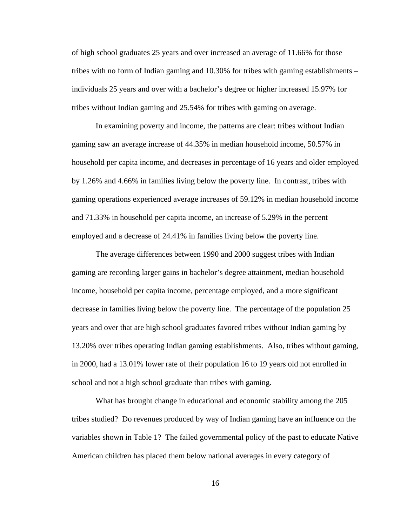of high school graduates 25 years and over increased an average of 11.66% for those tribes with no form of Indian gaming and 10.30% for tribes with gaming establishments – individuals 25 years and over with a bachelor's degree or higher increased 15.97% for tribes without Indian gaming and 25.54% for tribes with gaming on average.

In examining poverty and income, the patterns are clear: tribes without Indian gaming saw an average increase of 44.35% in median household income, 50.57% in household per capita income, and decreases in percentage of 16 years and older employed by 1.26% and 4.66% in families living below the poverty line. In contrast, tribes with gaming operations experienced average increases of 59.12% in median household income and 71.33% in household per capita income, an increase of 5.29% in the percent employed and a decrease of 24.41% in families living below the poverty line.

The average differences between 1990 and 2000 suggest tribes with Indian gaming are recording larger gains in bachelor's degree attainment, median household income, household per capita income, percentage employed, and a more significant decrease in families living below the poverty line. The percentage of the population 25 years and over that are high school graduates favored tribes without Indian gaming by 13.20% over tribes operating Indian gaming establishments. Also, tribes without gaming, in 2000, had a 13.01% lower rate of their population 16 to 19 years old not enrolled in school and not a high school graduate than tribes with gaming.

What has brought change in educational and economic stability among the 205 tribes studied? Do revenues produced by way of Indian gaming have an influence on the variables shown in Table 1? The failed governmental policy of the past to educate Native American children has placed them below national averages in every category of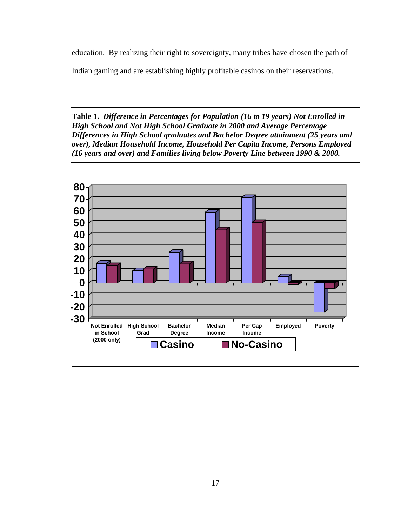<span id="page-26-0"></span>education. By realizing their right to sovereignty, many tribes have chosen the path of

Indian gaming and are establishing highly profitable casinos on their reservations.

**Table 1.** *Difference in Percentages for Population (16 to 19 years) Not Enrolled in High School and Not High School Graduate in 2000 and Average Percentage Differences in High School graduates and Bachelor Degree attainment (25 years and over), Median Household Income, Household Per Capita Income, Persons Employed (16 years and over) and Families living below Poverty Line between 1990 & 2000.* 

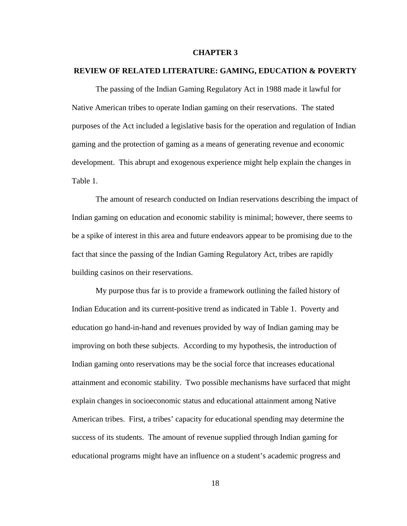#### **CHAPTER 3**

#### <span id="page-27-0"></span>**REVIEW OF RELATED LITERATURE: GAMING, EDUCATION & POVERTY**

The passing of the Indian Gaming Regulatory Act in 1988 made it lawful for Native American tribes to operate Indian gaming on their reservations. The stated purposes of the Act included a legislative basis for the operation and regulation of Indian gaming and the protection of gaming as a means of generating revenue and economic development. This abrupt and exogenous experience might help explain the changes in Table 1.

The amount of research conducted on Indian reservations describing the impact of Indian gaming on education and economic stability is minimal; however, there seems to be a spike of interest in this area and future endeavors appear to be promising due to the fact that since the passing of the Indian Gaming Regulatory Act, tribes are rapidly building casinos on their reservations.

My purpose thus far is to provide a framework outlining the failed history of Indian Education and its current-positive trend as indicated in Table 1. Poverty and education go hand-in-hand and revenues provided by way of Indian gaming may be improving on both these subjects. According to my hypothesis, the introduction of Indian gaming onto reservations may be the social force that increases educational attainment and economic stability. Two possible mechanisms have surfaced that might explain changes in socioeconomic status and educational attainment among Native American tribes. First, a tribes' capacity for educational spending may determine the success of its students. The amount of revenue supplied through Indian gaming for educational programs might have an influence on a student's academic progress and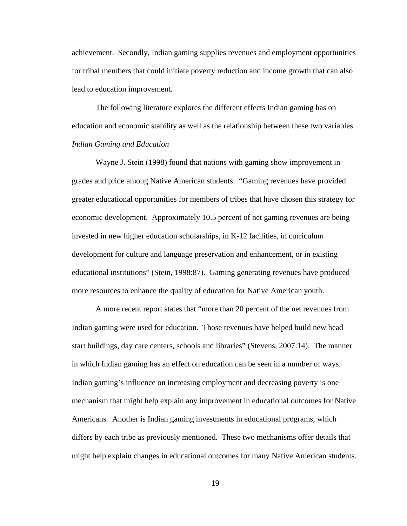<span id="page-28-0"></span>achievement. Secondly, Indian gaming supplies revenues and employment opportunities for tribal members that could initiate poverty reduction and income growth that can also lead to education improvement.

The following literature explores the different effects Indian gaming has on education and economic stability as well as the relationship between these two variables. *Indian Gaming and Education* 

Wayne J. Stein (1998) found that nations with gaming show improvement in grades and pride among Native American students. "Gaming revenues have provided greater educational opportunities for members of tribes that have chosen this strategy for economic development. Approximately 10.5 percent of net gaming revenues are being invested in new higher education scholarships, in K-12 facilities, in curriculum development for culture and language preservation and enhancement, or in existing educational institutions" (Stein, 1998:87). Gaming generating revenues have produced more resources to enhance the quality of education for Native American youth.

A more recent report states that "more than 20 percent of the net revenues from Indian gaming were used for education. Those revenues have helped build new head start buildings, day care centers, schools and libraries" (Stevens, 2007:14). The manner in which Indian gaming has an effect on education can be seen in a number of ways. Indian gaming's influence on increasing employment and decreasing poverty is one mechanism that might help explain any improvement in educational outcomes for Native Americans. Another is Indian gaming investments in educational programs, which differs by each tribe as previously mentioned. These two mechanisms offer details that might help explain changes in educational outcomes for many Native American students.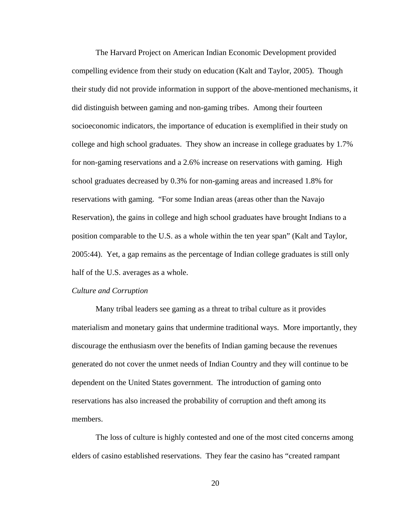<span id="page-29-0"></span>The Harvard Project on American Indian Economic Development provided compelling evidence from their study on education (Kalt and Taylor, 2005). Though their study did not provide information in support of the above-mentioned mechanisms, it did distinguish between gaming and non-gaming tribes. Among their fourteen socioeconomic indicators, the importance of education is exemplified in their study on college and high school graduates. They show an increase in college graduates by 1.7% for non-gaming reservations and a 2.6% increase on reservations with gaming. High school graduates decreased by 0.3% for non-gaming areas and increased 1.8% for reservations with gaming. "For some Indian areas (areas other than the Navajo Reservation), the gains in college and high school graduates have brought Indians to a position comparable to the U.S. as a whole within the ten year span" (Kalt and Taylor, 2005:44). Yet, a gap remains as the percentage of Indian college graduates is still only half of the U.S. averages as a whole.

#### *Culture and Corruption*

Many tribal leaders see gaming as a threat to tribal culture as it provides materialism and monetary gains that undermine traditional ways. More importantly, they discourage the enthusiasm over the benefits of Indian gaming because the revenues generated do not cover the unmet needs of Indian Country and they will continue to be dependent on the United States government. The introduction of gaming onto reservations has also increased the probability of corruption and theft among its members.

The loss of culture is highly contested and one of the most cited concerns among elders of casino established reservations. They fear the casino has "created rampant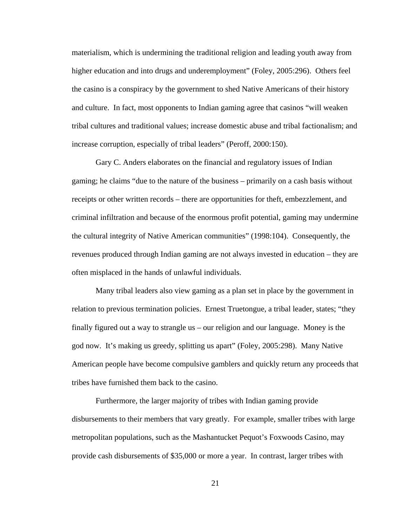materialism, which is undermining the traditional religion and leading youth away from higher education and into drugs and underemployment" (Foley, 2005:296). Others feel the casino is a conspiracy by the government to shed Native Americans of their history and culture. In fact, most opponents to Indian gaming agree that casinos "will weaken tribal cultures and traditional values; increase domestic abuse and tribal factionalism; and increase corruption, especially of tribal leaders" (Peroff, 2000:150).

Gary C. Anders elaborates on the financial and regulatory issues of Indian gaming; he claims "due to the nature of the business – primarily on a cash basis without receipts or other written records – there are opportunities for theft, embezzlement, and criminal infiltration and because of the enormous profit potential, gaming may undermine the cultural integrity of Native American communities" (1998:104). Consequently, the revenues produced through Indian gaming are not always invested in education – they are often misplaced in the hands of unlawful individuals.

Many tribal leaders also view gaming as a plan set in place by the government in relation to previous termination policies. Ernest Truetongue, a tribal leader, states; "they finally figured out a way to strangle us – our religion and our language. Money is the god now. It's making us greedy, splitting us apart" (Foley, 2005:298). Many Native American people have become compulsive gamblers and quickly return any proceeds that tribes have furnished them back to the casino.

Furthermore, the larger majority of tribes with Indian gaming provide disbursements to their members that vary greatly. For example, smaller tribes with large metropolitan populations, such as the Mashantucket Pequot's Foxwoods Casino, may provide cash disbursements of \$35,000 or more a year. In contrast, larger tribes with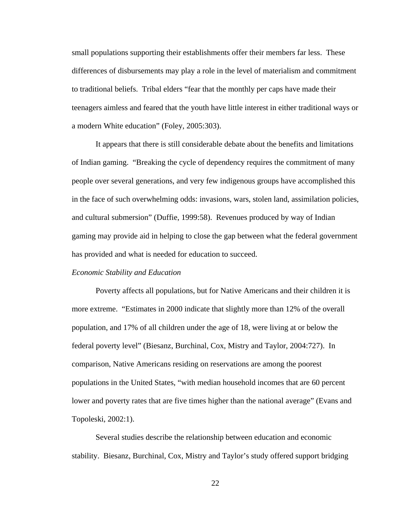<span id="page-31-0"></span>small populations supporting their establishments offer their members far less. These differences of disbursements may play a role in the level of materialism and commitment to traditional beliefs. Tribal elders "fear that the monthly per caps have made their teenagers aimless and feared that the youth have little interest in either traditional ways or a modern White education" (Foley, 2005:303).

It appears that there is still considerable debate about the benefits and limitations of Indian gaming. "Breaking the cycle of dependency requires the commitment of many people over several generations, and very few indigenous groups have accomplished this in the face of such overwhelming odds: invasions, wars, stolen land, assimilation policies, and cultural submersion" (Duffie, 1999:58). Revenues produced by way of Indian gaming may provide aid in helping to close the gap between what the federal government has provided and what is needed for education to succeed.

#### *Economic Stability and Education*

Poverty affects all populations, but for Native Americans and their children it is more extreme. "Estimates in 2000 indicate that slightly more than 12% of the overall population, and 17% of all children under the age of 18, were living at or below the federal poverty level" (Biesanz, Burchinal, Cox, Mistry and Taylor, 2004:727). In comparison, Native Americans residing on reservations are among the poorest populations in the United States, "with median household incomes that are 60 percent lower and poverty rates that are five times higher than the national average" (Evans and Topoleski, 2002:1).

Several studies describe the relationship between education and economic stability. Biesanz, Burchinal, Cox, Mistry and Taylor's study offered support bridging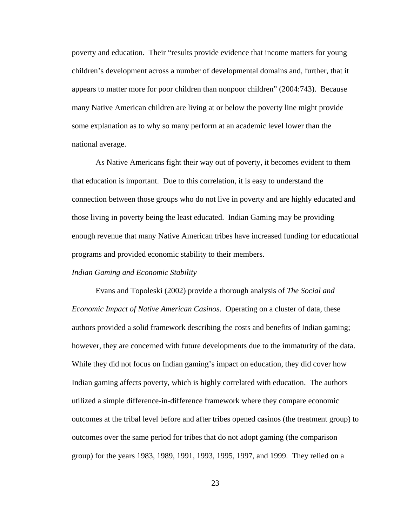<span id="page-32-0"></span>poverty and education. Their "results provide evidence that income matters for young children's development across a number of developmental domains and, further, that it appears to matter more for poor children than nonpoor children" (2004:743). Because many Native American children are living at or below the poverty line might provide some explanation as to why so many perform at an academic level lower than the national average.

 As Native Americans fight their way out of poverty, it becomes evident to them that education is important. Due to this correlation, it is easy to understand the connection between those groups who do not live in poverty and are highly educated and those living in poverty being the least educated. Indian Gaming may be providing enough revenue that many Native American tribes have increased funding for educational programs and provided economic stability to their members.

#### *Indian Gaming and Economic Stability*

Evans and Topoleski (2002) provide a thorough analysis of *The Social and Economic Impact of Native American Casinos*. Operating on a cluster of data, these authors provided a solid framework describing the costs and benefits of Indian gaming; however, they are concerned with future developments due to the immaturity of the data. While they did not focus on Indian gaming's impact on education, they did cover how Indian gaming affects poverty, which is highly correlated with education. The authors utilized a simple difference-in-difference framework where they compare economic outcomes at the tribal level before and after tribes opened casinos (the treatment group) to outcomes over the same period for tribes that do not adopt gaming (the comparison group) for the years 1983, 1989, 1991, 1993, 1995, 1997, and 1999. They relied on a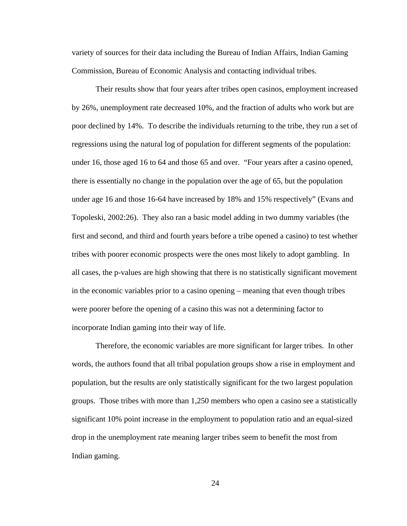variety of sources for their data including the Bureau of Indian Affairs, Indian Gaming Commission, Bureau of Economic Analysis and contacting individual tribes.

Their results show that four years after tribes open casinos, employment increased by 26%, unemployment rate decreased 10%, and the fraction of adults who work but are poor declined by 14%. To describe the individuals returning to the tribe, they run a set of regressions using the natural log of population for different segments of the population: under 16, those aged 16 to 64 and those 65 and over. "Four years after a casino opened, there is essentially no change in the population over the age of 65, but the population under age 16 and those 16-64 have increased by 18% and 15% respectively" (Evans and Topoleski, 2002:26). They also ran a basic model adding in two dummy variables (the first and second, and third and fourth years before a tribe opened a casino) to test whether tribes with poorer economic prospects were the ones most likely to adopt gambling. In all cases, the p-values are high showing that there is no statistically significant movement in the economic variables prior to a casino opening – meaning that even though tribes were poorer before the opening of a casino this was not a determining factor to incorporate Indian gaming into their way of life.

Therefore, the economic variables are more significant for larger tribes. In other words, the authors found that all tribal population groups show a rise in employment and population, but the results are only statistically significant for the two largest population groups. Those tribes with more than 1,250 members who open a casino see a statistically significant 10% point increase in the employment to population ratio and an equal-sized drop in the unemployment rate meaning larger tribes seem to benefit the most from Indian gaming.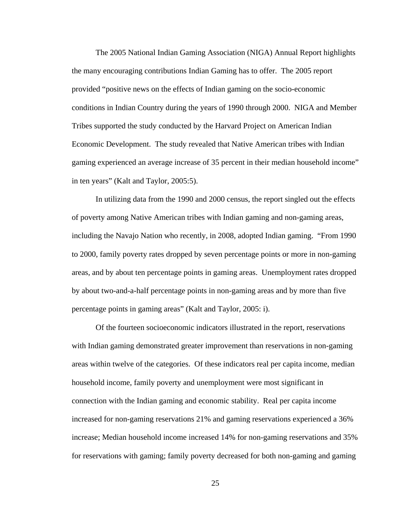The 2005 National Indian Gaming Association (NIGA) Annual Report highlights the many encouraging contributions Indian Gaming has to offer. The 2005 report provided "positive news on the effects of Indian gaming on the socio-economic conditions in Indian Country during the years of 1990 through 2000. NIGA and Member Tribes supported the study conducted by the Harvard Project on American Indian Economic Development. The study revealed that Native American tribes with Indian gaming experienced an average increase of 35 percent in their median household income" in ten years" (Kalt and Taylor, 2005:5).

In utilizing data from the 1990 and 2000 census, the report singled out the effects of poverty among Native American tribes with Indian gaming and non-gaming areas, including the Navajo Nation who recently, in 2008, adopted Indian gaming. "From 1990 to 2000, family poverty rates dropped by seven percentage points or more in non-gaming areas, and by about ten percentage points in gaming areas. Unemployment rates dropped by about two-and-a-half percentage points in non-gaming areas and by more than five percentage points in gaming areas" (Kalt and Taylor, 2005: i).

Of the fourteen socioeconomic indicators illustrated in the report, reservations with Indian gaming demonstrated greater improvement than reservations in non-gaming areas within twelve of the categories. Of these indicators real per capita income, median household income, family poverty and unemployment were most significant in connection with the Indian gaming and economic stability. Real per capita income increased for non-gaming reservations 21% and gaming reservations experienced a 36% increase; Median household income increased 14% for non-gaming reservations and 35% for reservations with gaming; family poverty decreased for both non-gaming and gaming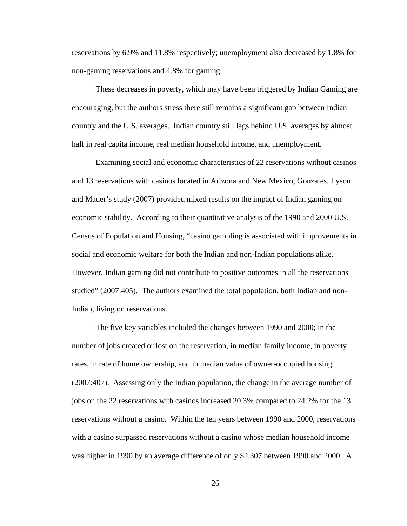reservations by 6.9% and 11.8% respectively; unemployment also decreased by 1.8% for non-gaming reservations and 4.8% for gaming.

These decreases in poverty, which may have been triggered by Indian Gaming are encouraging, but the authors stress there still remains a significant gap between Indian country and the U.S. averages. Indian country still lags behind U.S. averages by almost half in real capita income, real median household income, and unemployment.

Examining social and economic characteristics of 22 reservations without casinos and 13 reservations with casinos located in Arizona and New Mexico, Gonzales, Lyson and Mauer's study (2007) provided mixed results on the impact of Indian gaming on economic stability. According to their quantitative analysis of the 1990 and 2000 U.S. Census of Population and Housing, "casino gambling is associated with improvements in social and economic welfare for both the Indian and non-Indian populations alike. However, Indian gaming did not contribute to positive outcomes in all the reservations studied" (2007:405). The authors examined the total population, both Indian and non-Indian, living on reservations.

The five key variables included the changes between 1990 and 2000; in the number of jobs created or lost on the reservation, in median family income, in poverty rates, in rate of home ownership, and in median value of owner-occupied housing (2007:407). Assessing only the Indian population, the change in the average number of jobs on the 22 reservations with casinos increased 20.3% compared to 24.2% for the 13 reservations without a casino. Within the ten years between 1990 and 2000, reservations with a casino surpassed reservations without a casino whose median household income was higher in 1990 by an average difference of only \$2,307 between 1990 and 2000. A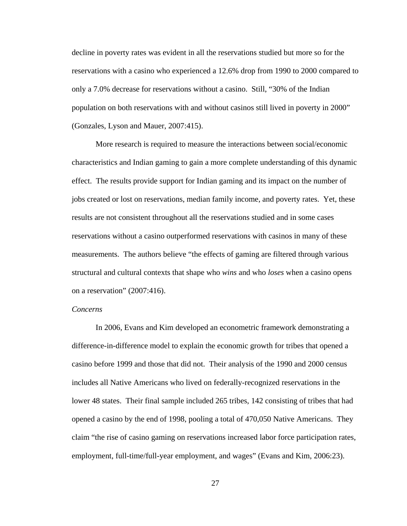decline in poverty rates was evident in all the reservations studied but more so for the reservations with a casino who experienced a 12.6% drop from 1990 to 2000 compared to only a 7.0% decrease for reservations without a casino. Still, "30% of the Indian population on both reservations with and without casinos still lived in poverty in 2000" (Gonzales, Lyson and Mauer, 2007:415).

More research is required to measure the interactions between social/economic characteristics and Indian gaming to gain a more complete understanding of this dynamic effect. The results provide support for Indian gaming and its impact on the number of jobs created or lost on reservations, median family income, and poverty rates. Yet, these results are not consistent throughout all the reservations studied and in some cases reservations without a casino outperformed reservations with casinos in many of these measurements. The authors believe "the effects of gaming are filtered through various structural and cultural contexts that shape who *wins* and who *loses* when a casino opens on a reservation" (2007:416).

# *Concerns*

In 2006, Evans and Kim developed an econometric framework demonstrating a difference-in-difference model to explain the economic growth for tribes that opened a casino before 1999 and those that did not. Their analysis of the 1990 and 2000 census includes all Native Americans who lived on federally-recognized reservations in the lower 48 states. Their final sample included 265 tribes, 142 consisting of tribes that had opened a casino by the end of 1998, pooling a total of 470,050 Native Americans. They claim "the rise of casino gaming on reservations increased labor force participation rates, employment, full-time/full-year employment, and wages" (Evans and Kim, 2006:23).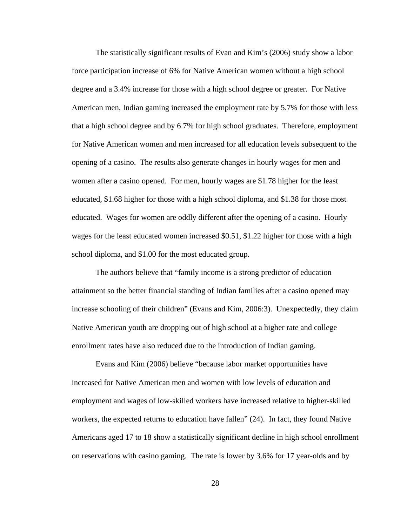The statistically significant results of Evan and Kim's (2006) study show a labor force participation increase of 6% for Native American women without a high school degree and a 3.4% increase for those with a high school degree or greater. For Native American men, Indian gaming increased the employment rate by 5.7% for those with less that a high school degree and by 6.7% for high school graduates. Therefore, employment for Native American women and men increased for all education levels subsequent to the opening of a casino. The results also generate changes in hourly wages for men and women after a casino opened. For men, hourly wages are \$1.78 higher for the least educated, \$1.68 higher for those with a high school diploma, and \$1.38 for those most educated. Wages for women are oddly different after the opening of a casino. Hourly wages for the least educated women increased \$0.51, \$1.22 higher for those with a high school diploma, and \$1.00 for the most educated group.

The authors believe that "family income is a strong predictor of education attainment so the better financial standing of Indian families after a casino opened may increase schooling of their children" (Evans and Kim, 2006:3). Unexpectedly, they claim Native American youth are dropping out of high school at a higher rate and college enrollment rates have also reduced due to the introduction of Indian gaming.

 Evans and Kim (2006) believe "because labor market opportunities have increased for Native American men and women with low levels of education and employment and wages of low-skilled workers have increased relative to higher-skilled workers, the expected returns to education have fallen" (24). In fact, they found Native Americans aged 17 to 18 show a statistically significant decline in high school enrollment on reservations with casino gaming. The rate is lower by 3.6% for 17 year-olds and by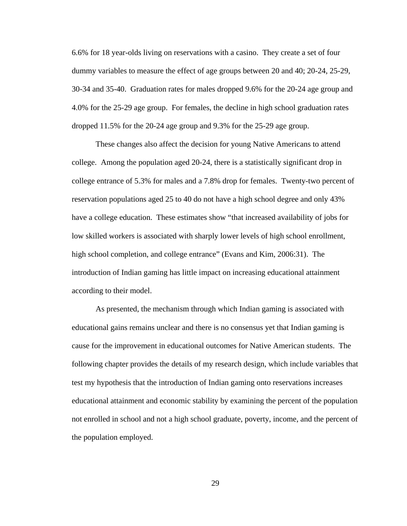6.6% for 18 year-olds living on reservations with a casino. They create a set of four dummy variables to measure the effect of age groups between 20 and 40; 20-24, 25-29, 30-34 and 35-40. Graduation rates for males dropped 9.6% for the 20-24 age group and 4.0% for the 25-29 age group. For females, the decline in high school graduation rates dropped 11.5% for the 20-24 age group and 9.3% for the 25-29 age group.

These changes also affect the decision for young Native Americans to attend college. Among the population aged 20-24, there is a statistically significant drop in college entrance of 5.3% for males and a 7.8% drop for females. Twenty-two percent of reservation populations aged 25 to 40 do not have a high school degree and only 43% have a college education. These estimates show "that increased availability of jobs for low skilled workers is associated with sharply lower levels of high school enrollment, high school completion, and college entrance" (Evans and Kim, 2006:31). The introduction of Indian gaming has little impact on increasing educational attainment according to their model.

As presented, the mechanism through which Indian gaming is associated with educational gains remains unclear and there is no consensus yet that Indian gaming is cause for the improvement in educational outcomes for Native American students. The following chapter provides the details of my research design, which include variables that test my hypothesis that the introduction of Indian gaming onto reservations increases educational attainment and economic stability by examining the percent of the population not enrolled in school and not a high school graduate, poverty, income, and the percent of the population employed.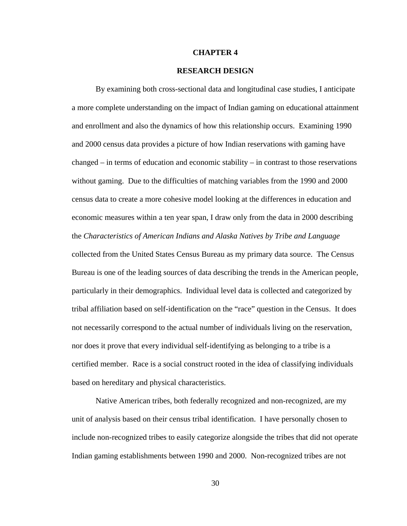# **CHAPTER 4**

# **RESEARCH DESIGN**

By examining both cross-sectional data and longitudinal case studies, I anticipate a more complete understanding on the impact of Indian gaming on educational attainment and enrollment and also the dynamics of how this relationship occurs. Examining 1990 and 2000 census data provides a picture of how Indian reservations with gaming have changed – in terms of education and economic stability – in contrast to those reservations without gaming. Due to the difficulties of matching variables from the 1990 and 2000 census data to create a more cohesive model looking at the differences in education and economic measures within a ten year span, I draw only from the data in 2000 describing the *Characteristics of American Indians and Alaska Natives by Tribe and Language* collected from the United States Census Bureau as my primary data source. The Census Bureau is one of the leading sources of data describing the trends in the American people, particularly in their demographics. Individual level data is collected and categorized by tribal affiliation based on self-identification on the "race" question in the Census. It does not necessarily correspond to the actual number of individuals living on the reservation, nor does it prove that every individual self-identifying as belonging to a tribe is a certified member. Race is a social construct rooted in the idea of classifying individuals based on hereditary and physical characteristics.

Native American tribes, both federally recognized and non-recognized, are my unit of analysis based on their census tribal identification. I have personally chosen to include non-recognized tribes to easily categorize alongside the tribes that did not operate Indian gaming establishments between 1990 and 2000. Non-recognized tribes are not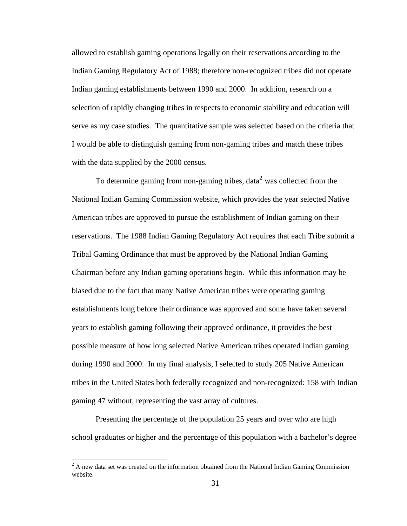<span id="page-40-0"></span>allowed to establish gaming operations legally on their reservations according to the Indian Gaming Regulatory Act of 1988; therefore non-recognized tribes did not operate Indian gaming establishments between 1990 and 2000. In addition, research on a selection of rapidly changing tribes in respects to economic stability and education will serve as my case studies. The quantitative sample was selected based on the criteria that I would be able to distinguish gaming from non-gaming tribes and match these tribes with the data supplied by the 2000 census.

To determine gaming from non-gaming tribes, data<sup>[2](#page-40-0)</sup> was collected from the National Indian Gaming Commission website, which provides the year selected Native American tribes are approved to pursue the establishment of Indian gaming on their reservations. The 1988 Indian Gaming Regulatory Act requires that each Tribe submit a Tribal Gaming Ordinance that must be approved by the National Indian Gaming Chairman before any Indian gaming operations begin. While this information may be biased due to the fact that many Native American tribes were operating gaming establishments long before their ordinance was approved and some have taken several years to establish gaming following their approved ordinance, it provides the best possible measure of how long selected Native American tribes operated Indian gaming during 1990 and 2000. In my final analysis, I selected to study 205 Native American tribes in the United States both federally recognized and non-recognized: 158 with Indian gaming 47 without, representing the vast array of cultures.

Presenting the percentage of the population 25 years and over who are high school graduates or higher and the percentage of this population with a bachelor's degree

 $2^2$  A new data set was created on the information obtained from the National Indian Gaming Commission website.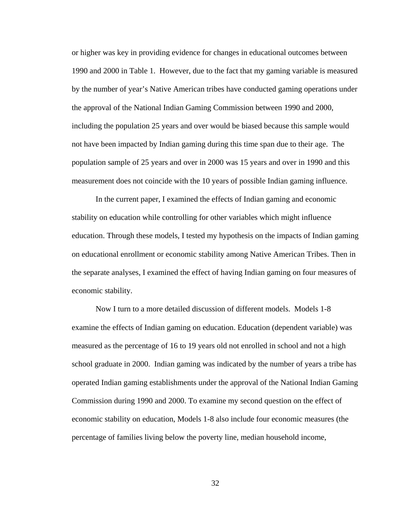or higher was key in providing evidence for changes in educational outcomes between 1990 and 2000 in Table 1. However, due to the fact that my gaming variable is measured by the number of year's Native American tribes have conducted gaming operations under the approval of the National Indian Gaming Commission between 1990 and 2000, including the population 25 years and over would be biased because this sample would not have been impacted by Indian gaming during this time span due to their age. The population sample of 25 years and over in 2000 was 15 years and over in 1990 and this measurement does not coincide with the 10 years of possible Indian gaming influence.

In the current paper, I examined the effects of Indian gaming and economic stability on education while controlling for other variables which might influence education. Through these models, I tested my hypothesis on the impacts of Indian gaming on educational enrollment or economic stability among Native American Tribes. Then in the separate analyses, I examined the effect of having Indian gaming on four measures of economic stability.

Now I turn to a more detailed discussion of different models. Models 1-8 examine the effects of Indian gaming on education. Education (dependent variable) was measured as the percentage of 16 to 19 years old not enrolled in school and not a high school graduate in 2000. Indian gaming was indicated by the number of years a tribe has operated Indian gaming establishments under the approval of the National Indian Gaming Commission during 1990 and 2000. To examine my second question on the effect of economic stability on education, Models 1-8 also include four economic measures (the percentage of families living below the poverty line, median household income,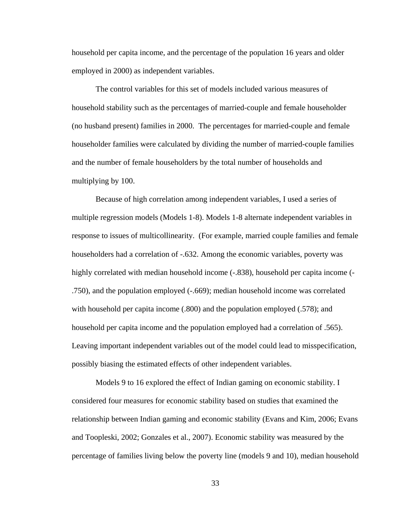household per capita income, and the percentage of the population 16 years and older employed in 2000) as independent variables.

The control variables for this set of models included various measures of household stability such as the percentages of married-couple and female householder (no husband present) families in 2000. The percentages for married-couple and female householder families were calculated by dividing the number of married-couple families and the number of female householders by the total number of households and multiplying by 100.

Because of high correlation among independent variables, I used a series of multiple regression models (Models 1-8). Models 1-8 alternate independent variables in response to issues of multicollinearity. (For example, married couple families and female householders had a correlation of -.632. Among the economic variables, poverty was highly correlated with median household income  $(-.838)$ , household per capita income  $(-.838)$ .750), and the population employed (-.669); median household income was correlated with household per capita income (.800) and the population employed (.578); and household per capita income and the population employed had a correlation of .565). Leaving important independent variables out of the model could lead to misspecification, possibly biasing the estimated effects of other independent variables.

Models 9 to 16 explored the effect of Indian gaming on economic stability. I considered four measures for economic stability based on studies that examined the relationship between Indian gaming and economic stability (Evans and Kim, 2006; Evans and Toopleski, 2002; Gonzales et al., 2007). Economic stability was measured by the percentage of families living below the poverty line (models 9 and 10), median household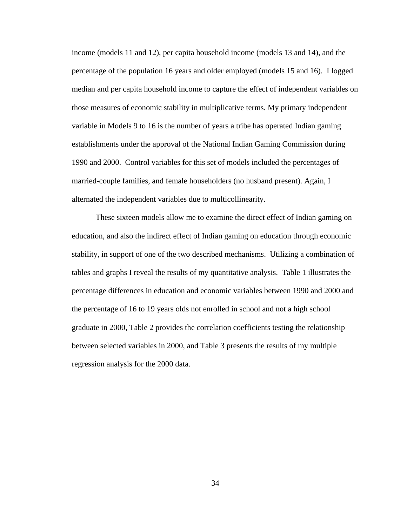income (models 11 and 12), per capita household income (models 13 and 14), and the percentage of the population 16 years and older employed (models 15 and 16). I logged median and per capita household income to capture the effect of independent variables on those measures of economic stability in multiplicative terms. My primary independent variable in Models 9 to 16 is the number of years a tribe has operated Indian gaming establishments under the approval of the National Indian Gaming Commission during 1990 and 2000. Control variables for this set of models included the percentages of married-couple families, and female householders (no husband present). Again, I alternated the independent variables due to multicollinearity.

These sixteen models allow me to examine the direct effect of Indian gaming on education, and also the indirect effect of Indian gaming on education through economic stability, in support of one of the two described mechanisms. Utilizing a combination of tables and graphs I reveal the results of my quantitative analysis. Table 1 illustrates the percentage differences in education and economic variables between 1990 and 2000 and the percentage of 16 to 19 years olds not enrolled in school and not a high school graduate in 2000, Table 2 provides the correlation coefficients testing the relationship between selected variables in 2000, and Table 3 presents the results of my multiple regression analysis for the 2000 data.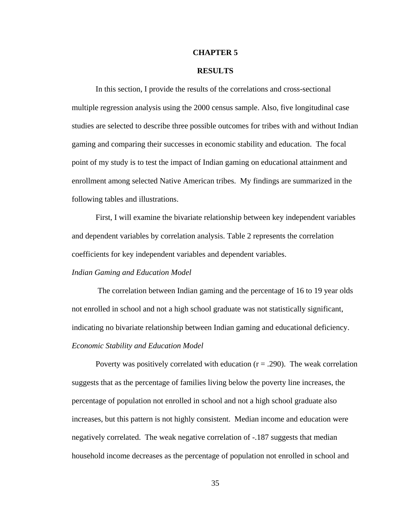## **CHAPTER 5**

# **RESULTS**

In this section, I provide the results of the correlations and cross-sectional multiple regression analysis using the 2000 census sample. Also, five longitudinal case studies are selected to describe three possible outcomes for tribes with and without Indian gaming and comparing their successes in economic stability and education. The focal point of my study is to test the impact of Indian gaming on educational attainment and enrollment among selected Native American tribes. My findings are summarized in the following tables and illustrations.

First, I will examine the bivariate relationship between key independent variables and dependent variables by correlation analysis. Table 2 represents the correlation coefficients for key independent variables and dependent variables.

### *Indian Gaming and Education Model*

 The correlation between Indian gaming and the percentage of 16 to 19 year olds not enrolled in school and not a high school graduate was not statistically significant, indicating no bivariate relationship between Indian gaming and educational deficiency. *Economic Stability and Education Model* 

Poverty was positively correlated with education  $(r = .290)$ . The weak correlation suggests that as the percentage of families living below the poverty line increases, the percentage of population not enrolled in school and not a high school graduate also increases, but this pattern is not highly consistent. Median income and education were negatively correlated. The weak negative correlation of -.187 suggests that median household income decreases as the percentage of population not enrolled in school and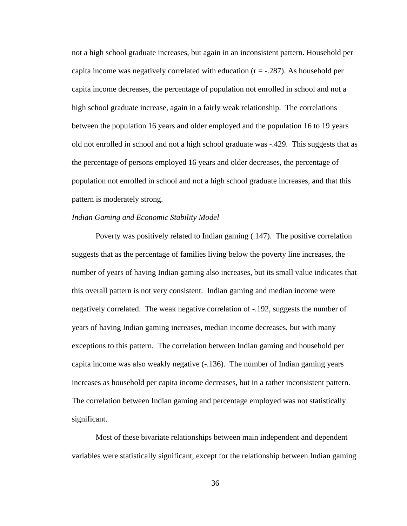not a high school graduate increases, but again in an inconsistent pattern. Household per capita income was negatively correlated with education  $(r = -.287)$ . As household per capita income decreases, the percentage of population not enrolled in school and not a high school graduate increase, again in a fairly weak relationship. The correlations between the population 16 years and older employed and the population 16 to 19 years old not enrolled in school and not a high school graduate was -.429. This suggests that as the percentage of persons employed 16 years and older decreases, the percentage of population not enrolled in school and not a high school graduate increases, and that this pattern is moderately strong.

# *Indian Gaming and Economic Stability Model*

Poverty was positively related to Indian gaming (.147). The positive correlation suggests that as the percentage of families living below the poverty line increases, the number of years of having Indian gaming also increases, but its small value indicates that this overall pattern is not very consistent. Indian gaming and median income were negatively correlated. The weak negative correlation of -.192, suggests the number of years of having Indian gaming increases, median income decreases, but with many exceptions to this pattern. The correlation between Indian gaming and household per capita income was also weakly negative (-.136). The number of Indian gaming years increases as household per capita income decreases, but in a rather inconsistent pattern. The correlation between Indian gaming and percentage employed was not statistically significant.

Most of these bivariate relationships between main independent and dependent variables were statistically significant, except for the relationship between Indian gaming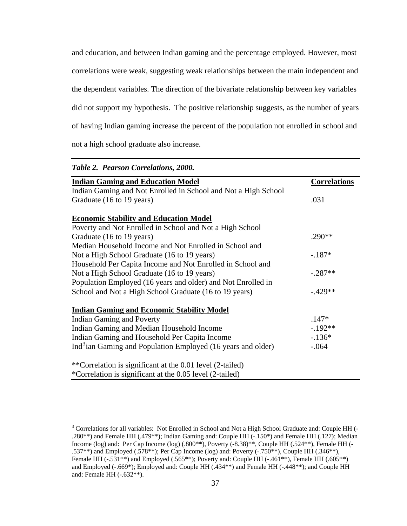<span id="page-46-0"></span>and education, and between Indian gaming and the percentage employed. However, most correlations were weak, suggesting weak relationships between the main independent and the dependent variables. The direction of the bivariate relationship between key variables did not support my hypothesis. The positive relationship suggests, as the number of years of having Indian gaming increase the percent of the population not enrolled in school and not a high school graduate also increase.

| Table 2. Pearson Correlations, 2000.                                     |                     |
|--------------------------------------------------------------------------|---------------------|
| <b>Indian Gaming and Education Model</b>                                 | <b>Correlations</b> |
| Indian Gaming and Not Enrolled in School and Not a High School           |                     |
| Graduate (16 to 19 years)                                                | .031                |
| <b>Economic Stability and Education Model</b>                            |                     |
| Poverty and Not Enrolled in School and Not a High School                 |                     |
| Graduate (16 to 19 years)                                                | $.290**$            |
| Median Household Income and Not Enrolled in School and                   |                     |
| Not a High School Graduate (16 to 19 years)                              | $-.187*$            |
| Household Per Capita Income and Not Enrolled in School and               |                     |
| Not a High School Graduate (16 to 19 years)                              | $-.287**$           |
| Population Employed (16 years and older) and Not Enrolled in             |                     |
| School and Not a High School Graduate (16 to 19 years)                   | $-.429**$           |
| <b>Indian Gaming and Economic Stability Model</b>                        |                     |
| <b>Indian Gaming and Poverty</b>                                         | $.147*$             |
| Indian Gaming and Median Household Income                                | $-.192**$           |
| Indian Gaming and Household Per Capita Income                            | $-.136*$            |
| Ind <sup>3</sup> ian Gaming and Population Employed (16 years and older) | $-.064$             |
| **Correlation is significant at the 0.01 level (2-tailed)                |                     |
| *Correlation is significant at the 0.05 level (2-tailed)                 |                     |

 $\overline{a}$ <sup>3</sup> Correlations for all variables: Not Enrolled in School and Not a High School Graduate and: Couple HH (-.280\*\*) and Female HH (.479\*\*); Indian Gaming and: Couple HH (-.150\*) and Female HH (.127); Median Income (log) and: Per Cap Income (log) (.800\*\*), Poverty (-8.38)\*\*, Couple HH (.524\*\*), Female HH (- .537\*\*) and Employed (.578\*\*); Per Cap Income (log) and: Poverty (-.750\*\*), Couple HH (.346\*\*), Female HH (-.531\*\*) and Employed (.565\*\*); Poverty and: Couple HH (-.461\*\*), Female HH (.605\*\*) and Employed (-.669\*); Employed and: Couple HH (.434\*\*) and Female HH (-.448\*\*); and Couple HH and: Female HH (-.632\*\*).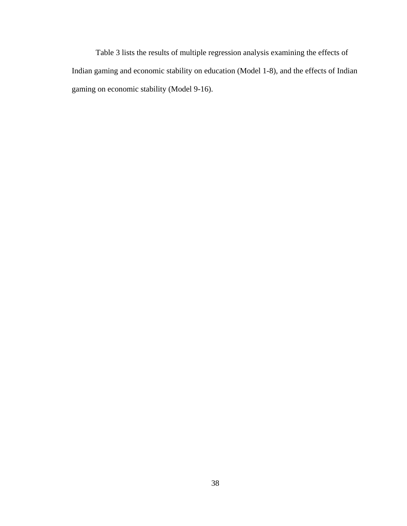Table 3 lists the results of multiple regression analysis examining the effects of Indian gaming and economic stability on education (Model 1-8), and the effects of Indian gaming on economic stability (Model 9-16).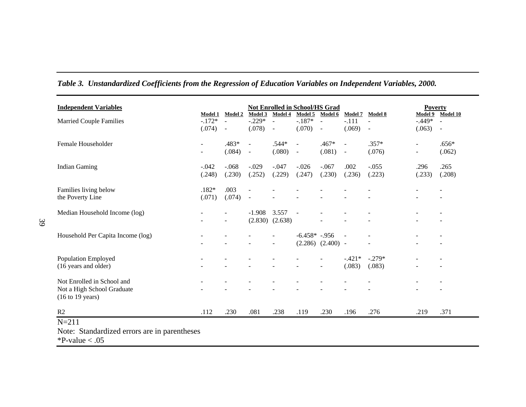| <b>Independent Variables</b>                                      |                     |                            | <b>Not Enrolled in School/HS Grad</b> |                     |                     |                       |                           |                   | <b>Poverty</b>           |                          |
|-------------------------------------------------------------------|---------------------|----------------------------|---------------------------------------|---------------------|---------------------|-----------------------|---------------------------|-------------------|--------------------------|--------------------------|
|                                                                   | Model 1<br>$-.172*$ | <b>Model 2</b><br>$\omega$ | Model 3<br>$-0.229*$                  | Model 4<br>$\sim$   | Model 5<br>$-.187*$ | Model 6<br>$\omega$   | <b>Model 7</b><br>$-.111$ | Model 8<br>$\sim$ | Model 9<br>$-.449*$      | Model 10<br>$\equiv$     |
| <b>Married Couple Families</b>                                    | (.074)              | $\overline{\phantom{a}}$   | (.078)                                | $\sim$              | (.070)              | $\blacksquare$        | (.069)                    | $\blacksquare$    | (.063)                   | $\overline{\phantom{a}}$ |
| Female Householder                                                | $\blacksquare$      | .483*                      | $\overline{\phantom{a}}$              | .544*               | $\blacksquare$      | .467*                 | $\blacksquare$            | $.357*$           | ۰                        | $.656*$                  |
|                                                                   | $\blacksquare$      | (.084)                     | $\blacksquare$                        | (.080)              | $\omega$            | (.081)                | ÷,                        | (.076)            | $\overline{\phantom{a}}$ | (.062)                   |
| <b>Indian Gaming</b>                                              | $-.042$             | $-.068$                    | $-.029$                               | $-.047$             | $-.026$             | $-.067$               | .002                      | $-.055$           | .296                     | .265                     |
|                                                                   | (.248)              | (.230)                     | (.252)                                | (.229)              | (.247)              | (.230)                | (.236)                    | (.223)            | (.233)                   | (.208)                   |
| Families living below                                             | $.182*$             | .003                       |                                       |                     |                     |                       |                           |                   |                          |                          |
| the Poverty Line                                                  | (.071)              | (.074)                     | $\blacksquare$                        |                     |                     |                       |                           |                   |                          |                          |
| Median Household Income (log)                                     |                     |                            | $-1.908$                              | 3.557               | $\sim$              |                       |                           |                   |                          |                          |
|                                                                   |                     | $\blacksquare$             |                                       | $(2.830)$ $(2.638)$ |                     |                       |                           |                   |                          |                          |
| Household Per Capita Income (log)                                 |                     |                            |                                       |                     | $-6.458* -956$      |                       |                           |                   |                          |                          |
|                                                                   |                     |                            |                                       | $\blacksquare$      |                     | $(2.286)$ $(2.400)$ - |                           | $\overline{a}$    |                          | $\overline{\phantom{a}}$ |
| <b>Population Employed</b>                                        |                     |                            |                                       |                     |                     |                       | $-.421*$                  | $-.279*$          |                          |                          |
| (16 years and older)                                              |                     |                            |                                       | $\blacksquare$      |                     | $\blacksquare$        | (.083)                    | (.083)            |                          |                          |
| Not Enrolled in School and                                        |                     |                            |                                       |                     |                     |                       |                           |                   |                          |                          |
| Not a High School Graduate<br>$(16 \text{ to } 19 \text{ years})$ |                     |                            |                                       |                     |                     |                       |                           |                   |                          |                          |
| R <sub>2</sub>                                                    | .112                | .230                       | .081                                  | .238                | .119                | .230                  | .196                      | .276              | .219                     | .371                     |

# *Table 3. Unstandardized Coefficients from the Regression of Education Variables on Independent Variables, 2000.*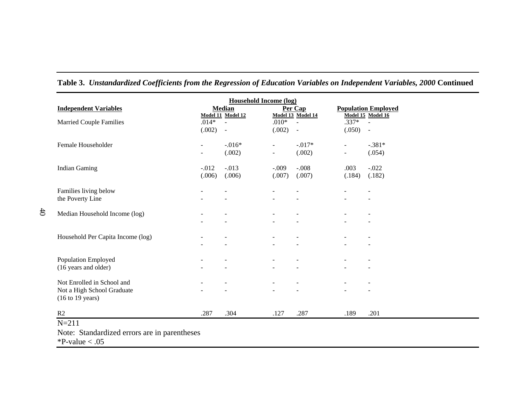| <b>Household Income (log)</b>                                     |                |                             |                |                             |                                                 |                          |  |  |  |
|-------------------------------------------------------------------|----------------|-----------------------------|----------------|-----------------------------|-------------------------------------------------|--------------------------|--|--|--|
| <b>Independent Variables</b>                                      |                | <b>Median</b>               |                | Per Cap                     | <b>Population Employed</b><br>Model 15 Model 16 |                          |  |  |  |
| <b>Married Couple Families</b>                                    | $.014*$        | Model 11 Model 12<br>$\sim$ | $.010*$        | Model 13 Model 14<br>$\sim$ | $.337*$                                         | $\sim$                   |  |  |  |
|                                                                   | (.002)         | $\sim$                      | (.002)         | $\overline{\phantom{a}}$    | (.050)                                          | $\sim$                   |  |  |  |
| Female Householder                                                | $\blacksquare$ | $-.016*$                    | $\blacksquare$ | $-0.017*$                   | $\blacksquare$                                  | $-.381*$                 |  |  |  |
|                                                                   | $\blacksquare$ | (.002)                      | $\blacksquare$ | (.002)                      | $\blacksquare$                                  | (.054)                   |  |  |  |
| <b>Indian Gaming</b>                                              | $-.012$        | $-.013$                     | $-.009$        | $-.008$                     | .003                                            | $-.022$                  |  |  |  |
|                                                                   | (.006)         | (.006)                      | (.007)         | (.007)                      | (.184)                                          | (.182)                   |  |  |  |
| Families living below                                             |                |                             |                |                             |                                                 |                          |  |  |  |
| the Poverty Line                                                  | $\blacksquare$ |                             |                |                             |                                                 | $\overline{\phantom{a}}$ |  |  |  |
| Median Household Income (log)                                     |                |                             |                |                             |                                                 |                          |  |  |  |
|                                                                   | $\blacksquare$ |                             |                |                             |                                                 |                          |  |  |  |
| Household Per Capita Income (log)                                 |                |                             |                |                             |                                                 |                          |  |  |  |
|                                                                   |                |                             |                |                             |                                                 | -                        |  |  |  |
| Population Employed                                               |                |                             |                |                             |                                                 |                          |  |  |  |
| (16 years and older)                                              |                |                             |                |                             |                                                 | $\overline{\phantom{a}}$ |  |  |  |
| Not Enrolled in School and                                        | $\blacksquare$ |                             |                |                             |                                                 | $\overline{\phantom{a}}$ |  |  |  |
| Not a High School Graduate<br>$(16 \text{ to } 19 \text{ years})$ |                |                             |                |                             |                                                 | $\blacksquare$           |  |  |  |
|                                                                   |                |                             |                |                             |                                                 |                          |  |  |  |
| R2                                                                | .287           | .304                        | .127           | .287                        | .189                                            | .201                     |  |  |  |

**Table 3.** *Unstandardized Coefficients from the Regression of Education Variables on Independent Variables, 2000* **Continued** 

 $P$ -value  $< .05$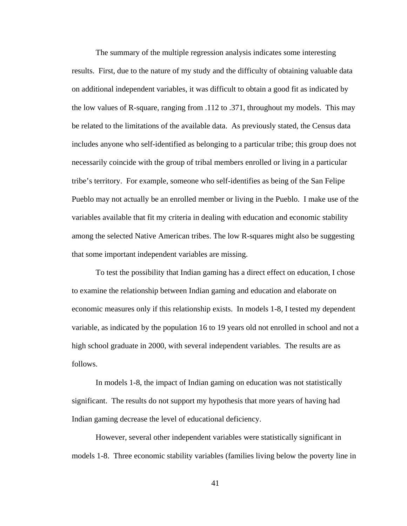The summary of the multiple regression analysis indicates some interesting results. First, due to the nature of my study and the difficulty of obtaining valuable data on additional independent variables, it was difficult to obtain a good fit as indicated by the low values of R-square, ranging from .112 to .371, throughout my models. This may be related to the limitations of the available data. As previously stated, the Census data includes anyone who self-identified as belonging to a particular tribe; this group does not necessarily coincide with the group of tribal members enrolled or living in a particular tribe's territory. For example, someone who self-identifies as being of the San Felipe Pueblo may not actually be an enrolled member or living in the Pueblo. I make use of the variables available that fit my criteria in dealing with education and economic stability among the selected Native American tribes. The low R-squares might also be suggesting that some important independent variables are missing.

 To test the possibility that Indian gaming has a direct effect on education, I chose to examine the relationship between Indian gaming and education and elaborate on economic measures only if this relationship exists. In models 1-8, I tested my dependent variable, as indicated by the population 16 to 19 years old not enrolled in school and not a high school graduate in 2000, with several independent variables. The results are as follows.

 In models 1-8, the impact of Indian gaming on education was not statistically significant. The results do not support my hypothesis that more years of having had Indian gaming decrease the level of educational deficiency.

However, several other independent variables were statistically significant in models 1-8. Three economic stability variables (families living below the poverty line in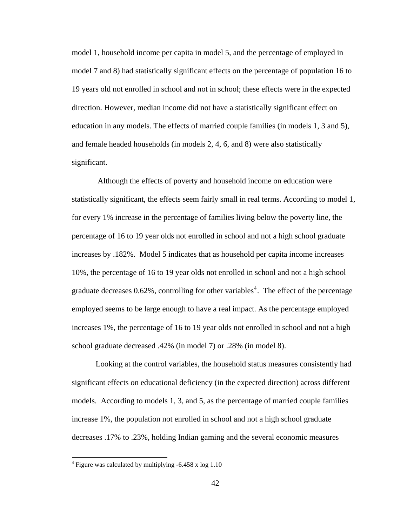<span id="page-51-0"></span>model 1, household income per capita in model 5, and the percentage of employed in model 7 and 8) had statistically significant effects on the percentage of population 16 to 19 years old not enrolled in school and not in school; these effects were in the expected direction. However, median income did not have a statistically significant effect on education in any models. The effects of married couple families (in models 1, 3 and 5), and female headed households (in models 2, 4, 6, and 8) were also statistically significant.

 Although the effects of poverty and household income on education were statistically significant, the effects seem fairly small in real terms. According to model 1, for every 1% increase in the percentage of families living below the poverty line, the percentage of 16 to 19 year olds not enrolled in school and not a high school graduate increases by .182%. Model 5 indicates that as household per capita income increases 10%, the percentage of 16 to 19 year olds not enrolled in school and not a high school graduate decreases  $0.62\%$ , controlling for other variables<sup>[4](#page-51-0)</sup>. The effect of the percentage employed seems to be large enough to have a real impact. As the percentage employed increases 1%, the percentage of 16 to 19 year olds not enrolled in school and not a high school graduate decreased .42% (in model 7) or .28% (in model 8).

 Looking at the control variables, the household status measures consistently had significant effects on educational deficiency (in the expected direction) across different models. According to models 1, 3, and 5, as the percentage of married couple families increase 1%, the population not enrolled in school and not a high school graduate decreases .17% to .23%, holding Indian gaming and the several economic measures

 $\overline{a}$ 

<sup>&</sup>lt;sup>4</sup> Figure was calculated by multiplying -6.458 x log 1.10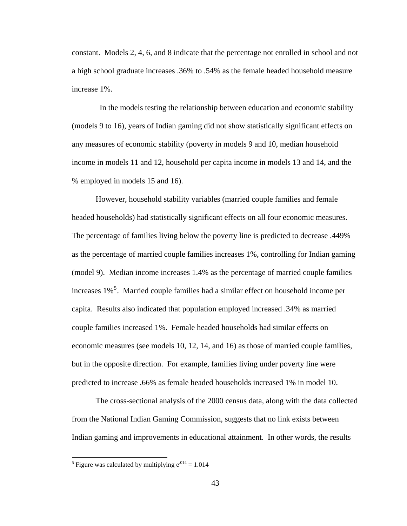<span id="page-52-0"></span>constant. Models 2, 4, 6, and 8 indicate that the percentage not enrolled in school and not a high school graduate increases .36% to .54% as the female headed household measure increase 1%.

 In the models testing the relationship between education and economic stability (models 9 to 16), years of Indian gaming did not show statistically significant effects on any measures of economic stability (poverty in models 9 and 10, median household income in models 11 and 12, household per capita income in models 13 and 14, and the % employed in models 15 and 16).

However, household stability variables (married couple families and female headed households) had statistically significant effects on all four economic measures. The percentage of families living below the poverty line is predicted to decrease .449% as the percentage of married couple families increases 1%, controlling for Indian gaming (model 9). Median income increases 1.4% as the percentage of married couple families increases 1%<sup>[5](#page-52-0)</sup>. Married couple families had a similar effect on household income per capita. Results also indicated that population employed increased .34% as married couple families increased 1%. Female headed households had similar effects on economic measures (see models 10, 12, 14, and 16) as those of married couple families, but in the opposite direction. For example, families living under poverty line were predicted to increase .66% as female headed households increased 1% in model 10.

The cross-sectional analysis of the 2000 census data, along with the data collected from the National Indian Gaming Commission, suggests that no link exists between Indian gaming and improvements in educational attainment. In other words, the results

<sup>&</sup>lt;sup>5</sup> Figure was calculated by multiplying  $e^{.014}$  = 1.014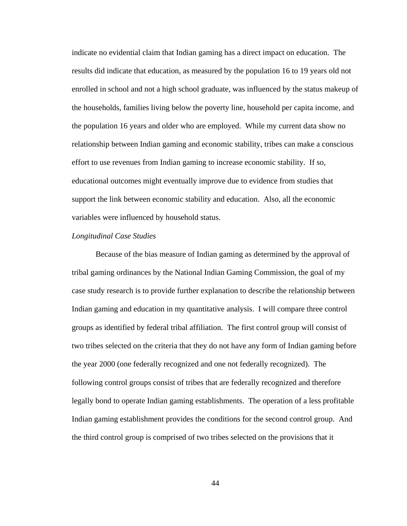indicate no evidential claim that Indian gaming has a direct impact on education. The results did indicate that education, as measured by the population 16 to 19 years old not enrolled in school and not a high school graduate, was influenced by the status makeup of the households, families living below the poverty line, household per capita income, and the population 16 years and older who are employed. While my current data show no relationship between Indian gaming and economic stability, tribes can make a conscious effort to use revenues from Indian gaming to increase economic stability. If so, educational outcomes might eventually improve due to evidence from studies that support the link between economic stability and education. Also, all the economic variables were influenced by household status.

#### *Longitudinal Case Studies*

Because of the bias measure of Indian gaming as determined by the approval of tribal gaming ordinances by the National Indian Gaming Commission, the goal of my case study research is to provide further explanation to describe the relationship between Indian gaming and education in my quantitative analysis. I will compare three control groups as identified by federal tribal affiliation. The first control group will consist of two tribes selected on the criteria that they do not have any form of Indian gaming before the year 2000 (one federally recognized and one not federally recognized). The following control groups consist of tribes that are federally recognized and therefore legally bond to operate Indian gaming establishments. The operation of a less profitable Indian gaming establishment provides the conditions for the second control group. And the third control group is comprised of two tribes selected on the provisions that it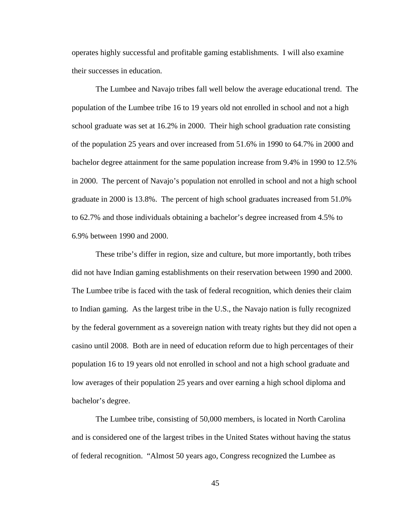operates highly successful and profitable gaming establishments. I will also examine their successes in education.

The Lumbee and Navajo tribes fall well below the average educational trend. The population of the Lumbee tribe 16 to 19 years old not enrolled in school and not a high school graduate was set at 16.2% in 2000. Their high school graduation rate consisting of the population 25 years and over increased from 51.6% in 1990 to 64.7% in 2000 and bachelor degree attainment for the same population increase from 9.4% in 1990 to 12.5% in 2000. The percent of Navajo's population not enrolled in school and not a high school graduate in 2000 is 13.8%. The percent of high school graduates increased from 51.0% to 62.7% and those individuals obtaining a bachelor's degree increased from 4.5% to 6.9% between 1990 and 2000.

These tribe's differ in region, size and culture, but more importantly, both tribes did not have Indian gaming establishments on their reservation between 1990 and 2000. The Lumbee tribe is faced with the task of federal recognition, which denies their claim to Indian gaming. As the largest tribe in the U.S., the Navajo nation is fully recognized by the federal government as a sovereign nation with treaty rights but they did not open a casino until 2008. Both are in need of education reform due to high percentages of their population 16 to 19 years old not enrolled in school and not a high school graduate and low averages of their population 25 years and over earning a high school diploma and bachelor's degree.

 The Lumbee tribe, consisting of 50,000 members, is located in North Carolina and is considered one of the largest tribes in the United States without having the status of federal recognition. "Almost 50 years ago, Congress recognized the Lumbee as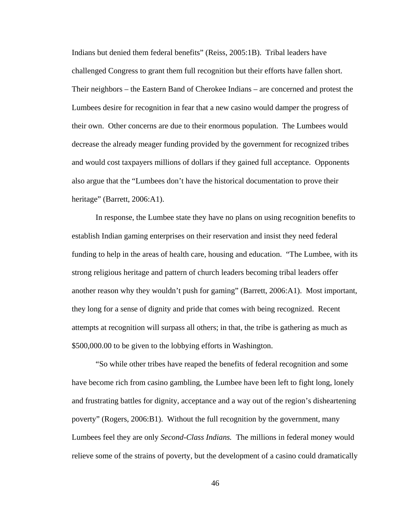Indians but denied them federal benefits" (Reiss, 2005:1B). Tribal leaders have challenged Congress to grant them full recognition but their efforts have fallen short. Their neighbors – the Eastern Band of Cherokee Indians – are concerned and protest the Lumbees desire for recognition in fear that a new casino would damper the progress of their own. Other concerns are due to their enormous population. The Lumbees would decrease the already meager funding provided by the government for recognized tribes and would cost taxpayers millions of dollars if they gained full acceptance. Opponents also argue that the "Lumbees don't have the historical documentation to prove their heritage" (Barrett, 2006:A1).

In response, the Lumbee state they have no plans on using recognition benefits to establish Indian gaming enterprises on their reservation and insist they need federal funding to help in the areas of health care, housing and education. "The Lumbee, with its strong religious heritage and pattern of church leaders becoming tribal leaders offer another reason why they wouldn't push for gaming" (Barrett, 2006:A1). Most important, they long for a sense of dignity and pride that comes with being recognized. Recent attempts at recognition will surpass all others; in that, the tribe is gathering as much as \$500,000.00 to be given to the lobbying efforts in Washington.

"So while other tribes have reaped the benefits of federal recognition and some have become rich from casino gambling, the Lumbee have been left to fight long, lonely and frustrating battles for dignity, acceptance and a way out of the region's disheartening poverty" (Rogers, 2006:B1). Without the full recognition by the government, many Lumbees feel they are only *Second-Class Indians.* The millions in federal money would relieve some of the strains of poverty, but the development of a casino could dramatically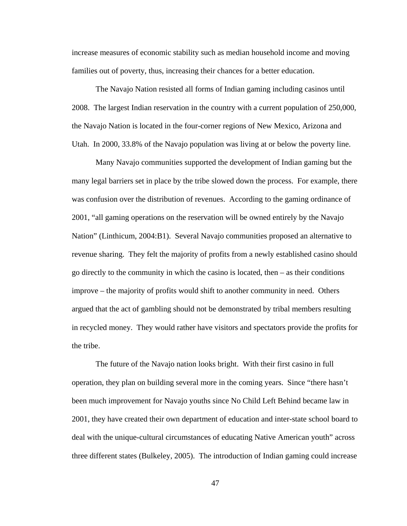increase measures of economic stability such as median household income and moving families out of poverty, thus, increasing their chances for a better education.

 The Navajo Nation resisted all forms of Indian gaming including casinos until 2008. The largest Indian reservation in the country with a current population of 250,000, the Navajo Nation is located in the four-corner regions of New Mexico, Arizona and Utah. In 2000, 33.8% of the Navajo population was living at or below the poverty line.

 Many Navajo communities supported the development of Indian gaming but the many legal barriers set in place by the tribe slowed down the process. For example, there was confusion over the distribution of revenues. According to the gaming ordinance of 2001, "all gaming operations on the reservation will be owned entirely by the Navajo Nation" (Linthicum, 2004:B1). Several Navajo communities proposed an alternative to revenue sharing. They felt the majority of profits from a newly established casino should go directly to the community in which the casino is located, then – as their conditions improve – the majority of profits would shift to another community in need. Others argued that the act of gambling should not be demonstrated by tribal members resulting in recycled money. They would rather have visitors and spectators provide the profits for the tribe.

 The future of the Navajo nation looks bright. With their first casino in full operation, they plan on building several more in the coming years. Since "there hasn't been much improvement for Navajo youths since No Child Left Behind became law in 2001, they have created their own department of education and inter-state school board to deal with the unique-cultural circumstances of educating Native American youth" across three different states (Bulkeley, 2005). The introduction of Indian gaming could increase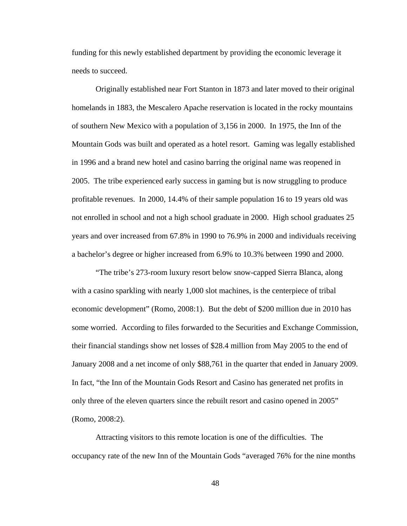funding for this newly established department by providing the economic leverage it needs to succeed.

 Originally established near Fort Stanton in 1873 and later moved to their original homelands in 1883, the Mescalero Apache reservation is located in the rocky mountains of southern New Mexico with a population of 3,156 in 2000. In 1975, the Inn of the Mountain Gods was built and operated as a hotel resort. Gaming was legally established in 1996 and a brand new hotel and casino barring the original name was reopened in 2005. The tribe experienced early success in gaming but is now struggling to produce profitable revenues. In 2000, 14.4% of their sample population 16 to 19 years old was not enrolled in school and not a high school graduate in 2000. High school graduates 25 years and over increased from 67.8% in 1990 to 76.9% in 2000 and individuals receiving a bachelor's degree or higher increased from 6.9% to 10.3% between 1990 and 2000.

 "The tribe's 273-room luxury resort below snow-capped Sierra Blanca, along with a casino sparkling with nearly 1,000 slot machines, is the centerpiece of tribal economic development" (Romo, 2008:1). But the debt of \$200 million due in 2010 has some worried. According to files forwarded to the Securities and Exchange Commission, their financial standings show net losses of \$28.4 million from May 2005 to the end of January 2008 and a net income of only \$88,761 in the quarter that ended in January 2009. In fact, "the Inn of the Mountain Gods Resort and Casino has generated net profits in only three of the eleven quarters since the rebuilt resort and casino opened in 2005" (Romo, 2008:2).

 Attracting visitors to this remote location is one of the difficulties. The occupancy rate of the new Inn of the Mountain Gods "averaged 76% for the nine months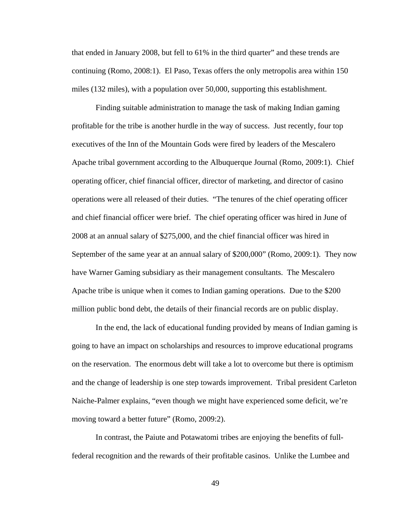that ended in January 2008, but fell to 61% in the third quarter" and these trends are continuing (Romo, 2008:1). El Paso, Texas offers the only metropolis area within 150 miles (132 miles), with a population over 50,000, supporting this establishment.

 Finding suitable administration to manage the task of making Indian gaming profitable for the tribe is another hurdle in the way of success. Just recently, four top executives of the Inn of the Mountain Gods were fired by leaders of the Mescalero Apache tribal government according to the Albuquerque Journal (Romo, 2009:1). Chief operating officer, chief financial officer, director of marketing, and director of casino operations were all released of their duties. "The tenures of the chief operating officer and chief financial officer were brief. The chief operating officer was hired in June of 2008 at an annual salary of \$275,000, and the chief financial officer was hired in September of the same year at an annual salary of \$200,000" (Romo, 2009:1). They now have Warner Gaming subsidiary as their management consultants. The Mescalero Apache tribe is unique when it comes to Indian gaming operations. Due to the \$200 million public bond debt, the details of their financial records are on public display.

 In the end, the lack of educational funding provided by means of Indian gaming is going to have an impact on scholarships and resources to improve educational programs on the reservation. The enormous debt will take a lot to overcome but there is optimism and the change of leadership is one step towards improvement. Tribal president Carleton Naiche-Palmer explains, "even though we might have experienced some deficit, we're moving toward a better future" (Romo, 2009:2).

 In contrast, the Paiute and Potawatomi tribes are enjoying the benefits of fullfederal recognition and the rewards of their profitable casinos. Unlike the Lumbee and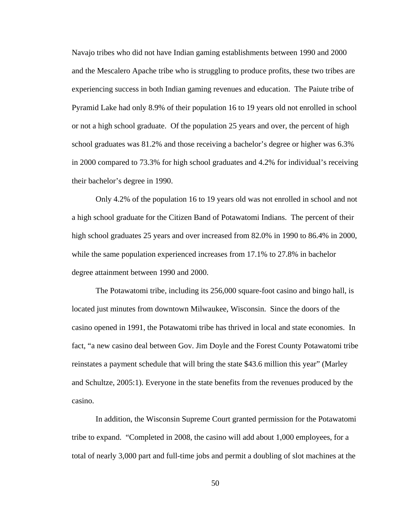Navajo tribes who did not have Indian gaming establishments between 1990 and 2000 and the Mescalero Apache tribe who is struggling to produce profits, these two tribes are experiencing success in both Indian gaming revenues and education. The Paiute tribe of Pyramid Lake had only 8.9% of their population 16 to 19 years old not enrolled in school or not a high school graduate. Of the population 25 years and over, the percent of high school graduates was 81.2% and those receiving a bachelor's degree or higher was 6.3% in 2000 compared to 73.3% for high school graduates and 4.2% for individual's receiving their bachelor's degree in 1990.

Only 4.2% of the population 16 to 19 years old was not enrolled in school and not a high school graduate for the Citizen Band of Potawatomi Indians. The percent of their high school graduates 25 years and over increased from 82.0% in 1990 to 86.4% in 2000, while the same population experienced increases from 17.1% to 27.8% in bachelor degree attainment between 1990 and 2000.

The Potawatomi tribe, including its 256,000 square-foot casino and bingo hall, is located just minutes from downtown Milwaukee, Wisconsin. Since the doors of the casino opened in 1991, the Potawatomi tribe has thrived in local and state economies. In fact, "a new casino deal between Gov. Jim Doyle and the Forest County Potawatomi tribe reinstates a payment schedule that will bring the state \$43.6 million this year" (Marley and Schultze, 2005:1). Everyone in the state benefits from the revenues produced by the casino.

 In addition, the Wisconsin Supreme Court granted permission for the Potawatomi tribe to expand. "Completed in 2008, the casino will add about 1,000 employees, for a total of nearly 3,000 part and full-time jobs and permit a doubling of slot machines at the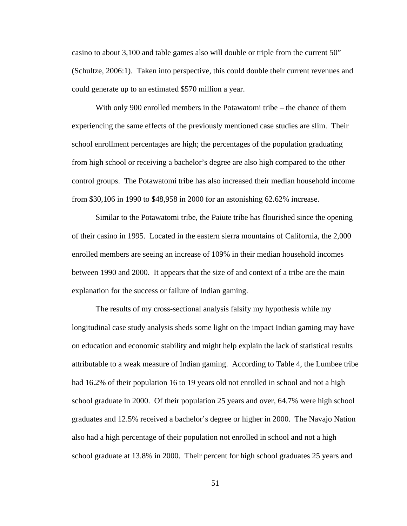casino to about 3,100 and table games also will double or triple from the current 50" (Schultze, 2006:1). Taken into perspective, this could double their current revenues and could generate up to an estimated \$570 million a year.

 With only 900 enrolled members in the Potawatomi tribe – the chance of them experiencing the same effects of the previously mentioned case studies are slim. Their school enrollment percentages are high; the percentages of the population graduating from high school or receiving a bachelor's degree are also high compared to the other control groups. The Potawatomi tribe has also increased their median household income from \$30,106 in 1990 to \$48,958 in 2000 for an astonishing 62.62% increase.

 Similar to the Potawatomi tribe, the Paiute tribe has flourished since the opening of their casino in 1995. Located in the eastern sierra mountains of California, the 2,000 enrolled members are seeing an increase of 109% in their median household incomes between 1990 and 2000. It appears that the size of and context of a tribe are the main explanation for the success or failure of Indian gaming.

The results of my cross-sectional analysis falsify my hypothesis while my longitudinal case study analysis sheds some light on the impact Indian gaming may have on education and economic stability and might help explain the lack of statistical results attributable to a weak measure of Indian gaming. According to Table 4, the Lumbee tribe had 16.2% of their population 16 to 19 years old not enrolled in school and not a high school graduate in 2000. Of their population 25 years and over, 64.7% were high school graduates and 12.5% received a bachelor's degree or higher in 2000. The Navajo Nation also had a high percentage of their population not enrolled in school and not a high school graduate at 13.8% in 2000. Their percent for high school graduates 25 years and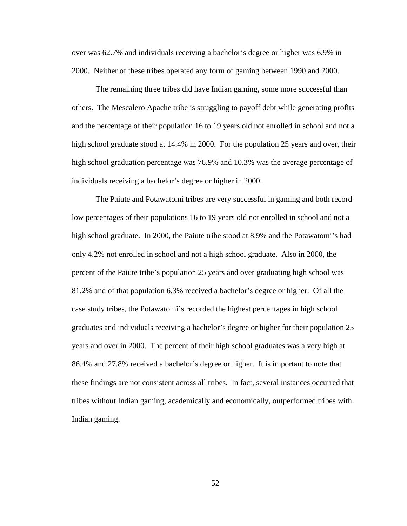over was 62.7% and individuals receiving a bachelor's degree or higher was 6.9% in 2000. Neither of these tribes operated any form of gaming between 1990 and 2000.

The remaining three tribes did have Indian gaming, some more successful than others. The Mescalero Apache tribe is struggling to payoff debt while generating profits and the percentage of their population 16 to 19 years old not enrolled in school and not a high school graduate stood at 14.4% in 2000. For the population 25 years and over, their high school graduation percentage was 76.9% and 10.3% was the average percentage of individuals receiving a bachelor's degree or higher in 2000.

The Paiute and Potawatomi tribes are very successful in gaming and both record low percentages of their populations 16 to 19 years old not enrolled in school and not a high school graduate. In 2000, the Paiute tribe stood at 8.9% and the Potawatomi's had only 4.2% not enrolled in school and not a high school graduate. Also in 2000, the percent of the Paiute tribe's population 25 years and over graduating high school was 81.2% and of that population 6.3% received a bachelor's degree or higher. Of all the case study tribes, the Potawatomi's recorded the highest percentages in high school graduates and individuals receiving a bachelor's degree or higher for their population 25 years and over in 2000. The percent of their high school graduates was a very high at 86.4% and 27.8% received a bachelor's degree or higher. It is important to note that these findings are not consistent across all tribes. In fact, several instances occurred that tribes without Indian gaming, academically and economically, outperformed tribes with Indian gaming.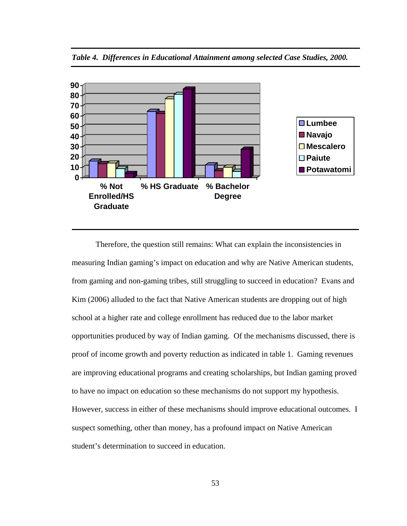

*Table 4. Differences in Educational Attainment among selected Case Studies, 2000.* 

Therefore, the question still remains: What can explain the inconsistencies in measuring Indian gaming's impact on education and why are Native American students, from gaming and non-gaming tribes, still struggling to succeed in education? Evans and Kim (2006) alluded to the fact that Native American students are dropping out of high school at a higher rate and college enrollment has reduced due to the labor market opportunities produced by way of Indian gaming. Of the mechanisms discussed, there is proof of income growth and poverty reduction as indicated in table 1. Gaming revenues are improving educational programs and creating scholarships, but Indian gaming proved to have no impact on education so these mechanisms do not support my hypothesis. However, success in either of these mechanisms should improve educational outcomes. I suspect something, other than money, has a profound impact on Native American student's determination to succeed in education.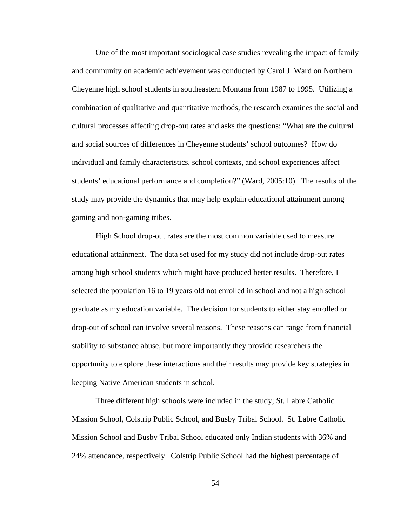One of the most important sociological case studies revealing the impact of family and community on academic achievement was conducted by Carol J. Ward on Northern Cheyenne high school students in southeastern Montana from 1987 to 1995. Utilizing a combination of qualitative and quantitative methods, the research examines the social and cultural processes affecting drop-out rates and asks the questions: "What are the cultural and social sources of differences in Cheyenne students' school outcomes? How do individual and family characteristics, school contexts, and school experiences affect students' educational performance and completion?" (Ward, 2005:10). The results of the study may provide the dynamics that may help explain educational attainment among gaming and non-gaming tribes.

High School drop-out rates are the most common variable used to measure educational attainment. The data set used for my study did not include drop-out rates among high school students which might have produced better results. Therefore, I selected the population 16 to 19 years old not enrolled in school and not a high school graduate as my education variable. The decision for students to either stay enrolled or drop-out of school can involve several reasons. These reasons can range from financial stability to substance abuse, but more importantly they provide researchers the opportunity to explore these interactions and their results may provide key strategies in keeping Native American students in school.

Three different high schools were included in the study; St. Labre Catholic Mission School, Colstrip Public School, and Busby Tribal School. St. Labre Catholic Mission School and Busby Tribal School educated only Indian students with 36% and 24% attendance, respectively. Colstrip Public School had the highest percentage of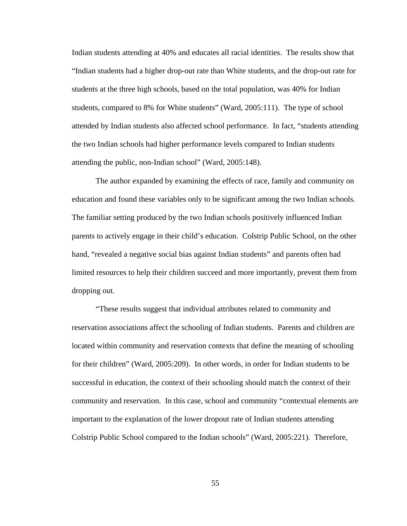Indian students attending at 40% and educates all racial identities. The results show that "Indian students had a higher drop-out rate than White students, and the drop-out rate for students at the three high schools, based on the total population, was 40% for Indian students, compared to 8% for White students" (Ward, 2005:111). The type of school attended by Indian students also affected school performance. In fact, "students attending the two Indian schools had higher performance levels compared to Indian students attending the public, non-Indian school" (Ward, 2005:148).

The author expanded by examining the effects of race, family and community on education and found these variables only to be significant among the two Indian schools. The familiar setting produced by the two Indian schools positively influenced Indian parents to actively engage in their child's education. Colstrip Public School, on the other hand, "revealed a negative social bias against Indian students" and parents often had limited resources to help their children succeed and more importantly, prevent them from dropping out.

"These results suggest that individual attributes related to community and reservation associations affect the schooling of Indian students. Parents and children are located within community and reservation contexts that define the meaning of schooling for their children" (Ward, 2005:209). In other words, in order for Indian students to be successful in education, the context of their schooling should match the context of their community and reservation. In this case, school and community "contextual elements are important to the explanation of the lower dropout rate of Indian students attending Colstrip Public School compared to the Indian schools" (Ward, 2005:221). Therefore,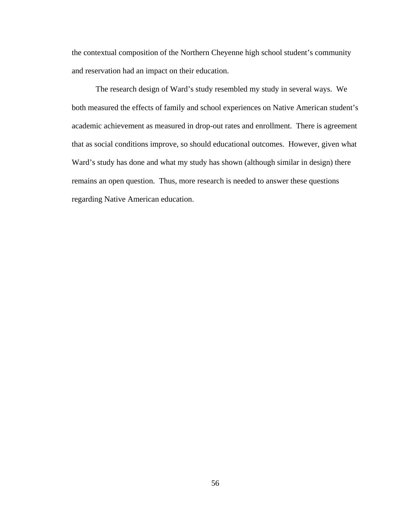the contextual composition of the Northern Cheyenne high school student's community and reservation had an impact on their education.

The research design of Ward's study resembled my study in several ways. We both measured the effects of family and school experiences on Native American student's academic achievement as measured in drop-out rates and enrollment. There is agreement that as social conditions improve, so should educational outcomes. However, given what Ward's study has done and what my study has shown (although similar in design) there remains an open question. Thus, more research is needed to answer these questions regarding Native American education.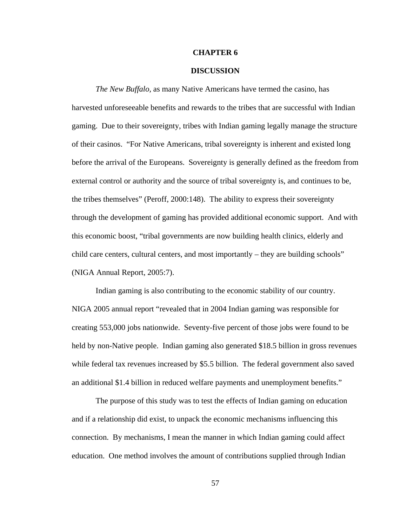## **CHAPTER 6**

# **DISCUSSION**

*The New Buffalo,* as many Native Americans have termed the casino, has harvested unforeseeable benefits and rewards to the tribes that are successful with Indian gaming. Due to their sovereignty, tribes with Indian gaming legally manage the structure of their casinos. "For Native Americans, tribal sovereignty is inherent and existed long before the arrival of the Europeans. Sovereignty is generally defined as the freedom from external control or authority and the source of tribal sovereignty is, and continues to be, the tribes themselves" (Peroff, 2000:148). The ability to express their sovereignty through the development of gaming has provided additional economic support. And with this economic boost, "tribal governments are now building health clinics, elderly and child care centers, cultural centers, and most importantly – they are building schools" (NIGA Annual Report, 2005:7).

 Indian gaming is also contributing to the economic stability of our country. NIGA 2005 annual report "revealed that in 2004 Indian gaming was responsible for creating 553,000 jobs nationwide. Seventy-five percent of those jobs were found to be held by non-Native people. Indian gaming also generated \$18.5 billion in gross revenues while federal tax revenues increased by \$5.5 billion. The federal government also saved an additional \$1.4 billion in reduced welfare payments and unemployment benefits."

The purpose of this study was to test the effects of Indian gaming on education and if a relationship did exist, to unpack the economic mechanisms influencing this connection. By mechanisms, I mean the manner in which Indian gaming could affect education. One method involves the amount of contributions supplied through Indian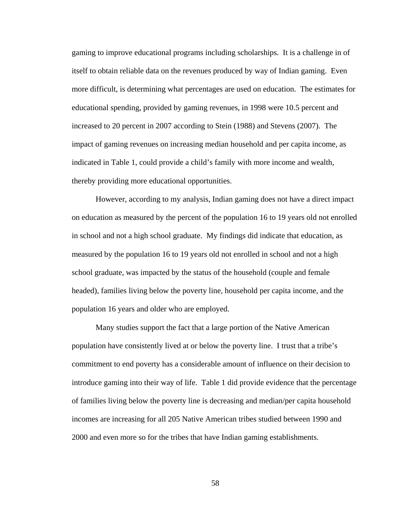gaming to improve educational programs including scholarships. It is a challenge in of itself to obtain reliable data on the revenues produced by way of Indian gaming. Even more difficult, is determining what percentages are used on education. The estimates for educational spending, provided by gaming revenues, in 1998 were 10.5 percent and increased to 20 percent in 2007 according to Stein (1988) and Stevens (2007). The impact of gaming revenues on increasing median household and per capita income, as indicated in Table 1, could provide a child's family with more income and wealth, thereby providing more educational opportunities.

However, according to my analysis, Indian gaming does not have a direct impact on education as measured by the percent of the population 16 to 19 years old not enrolled in school and not a high school graduate. My findings did indicate that education, as measured by the population 16 to 19 years old not enrolled in school and not a high school graduate, was impacted by the status of the household (couple and female headed), families living below the poverty line, household per capita income, and the population 16 years and older who are employed.

Many studies support the fact that a large portion of the Native American population have consistently lived at or below the poverty line. I trust that a tribe's commitment to end poverty has a considerable amount of influence on their decision to introduce gaming into their way of life. Table 1 did provide evidence that the percentage of families living below the poverty line is decreasing and median/per capita household incomes are increasing for all 205 Native American tribes studied between 1990 and 2000 and even more so for the tribes that have Indian gaming establishments.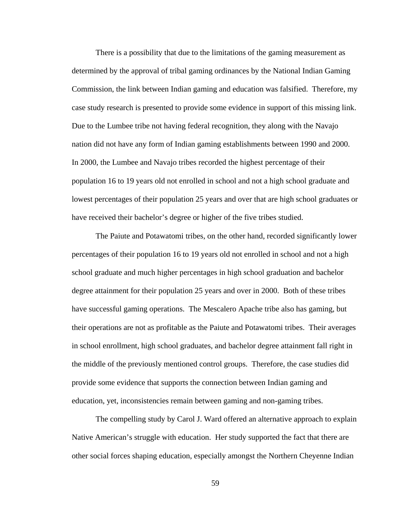There is a possibility that due to the limitations of the gaming measurement as determined by the approval of tribal gaming ordinances by the National Indian Gaming Commission, the link between Indian gaming and education was falsified. Therefore, my case study research is presented to provide some evidence in support of this missing link. Due to the Lumbee tribe not having federal recognition, they along with the Navajo nation did not have any form of Indian gaming establishments between 1990 and 2000. In 2000, the Lumbee and Navajo tribes recorded the highest percentage of their population 16 to 19 years old not enrolled in school and not a high school graduate and lowest percentages of their population 25 years and over that are high school graduates or have received their bachelor's degree or higher of the five tribes studied.

The Paiute and Potawatomi tribes, on the other hand, recorded significantly lower percentages of their population 16 to 19 years old not enrolled in school and not a high school graduate and much higher percentages in high school graduation and bachelor degree attainment for their population 25 years and over in 2000. Both of these tribes have successful gaming operations. The Mescalero Apache tribe also has gaming, but their operations are not as profitable as the Paiute and Potawatomi tribes. Their averages in school enrollment, high school graduates, and bachelor degree attainment fall right in the middle of the previously mentioned control groups. Therefore, the case studies did provide some evidence that supports the connection between Indian gaming and education, yet, inconsistencies remain between gaming and non-gaming tribes.

The compelling study by Carol J. Ward offered an alternative approach to explain Native American's struggle with education. Her study supported the fact that there are other social forces shaping education, especially amongst the Northern Cheyenne Indian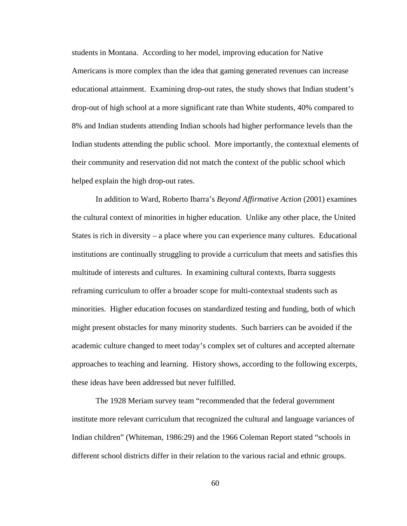students in Montana. According to her model, improving education for Native Americans is more complex than the idea that gaming generated revenues can increase educational attainment. Examining drop-out rates, the study shows that Indian student's drop-out of high school at a more significant rate than White students, 40% compared to 8% and Indian students attending Indian schools had higher performance levels than the Indian students attending the public school. More importantly, the contextual elements of their community and reservation did not match the context of the public school which helped explain the high drop-out rates.

In addition to Ward, Roberto Ibarra's *Beyond Affirmative Action* (2001) examines the cultural context of minorities in higher education. Unlike any other place, the United States is rich in diversity – a place where you can experience many cultures. Educational institutions are continually struggling to provide a curriculum that meets and satisfies this multitude of interests and cultures. In examining cultural contexts, Ibarra suggests reframing curriculum to offer a broader scope for multi-contextual students such as minorities. Higher education focuses on standardized testing and funding, both of which might present obstacles for many minority students. Such barriers can be avoided if the academic culture changed to meet today's complex set of cultures and accepted alternate approaches to teaching and learning. History shows, according to the following excerpts, these ideas have been addressed but never fulfilled.

The 1928 Meriam survey team "recommended that the federal government institute more relevant curriculum that recognized the cultural and language variances of Indian children" (Whiteman, 1986:29) and the 1966 Coleman Report stated "schools in different school districts differ in their relation to the various racial and ethnic groups.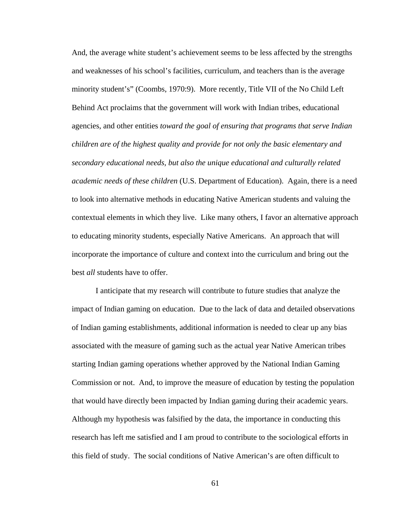And, the average white student's achievement seems to be less affected by the strengths and weaknesses of his school's facilities, curriculum, and teachers than is the average minority student's" (Coombs, 1970:9). More recently, Title VII of the No Child Left Behind Act proclaims that the government will work with Indian tribes, educational agencies, and other entities *toward the goal of ensuring that programs that serve Indian children are of the highest quality and provide for not only the basic elementary and secondary educational needs, but also the unique educational and culturally related academic needs of these children* (U.S. Department of Education).Again, there is a need to look into alternative methods in educating Native American students and valuing the contextual elements in which they live. Like many others, I favor an alternative approach to educating minority students, especially Native Americans. An approach that will incorporate the importance of culture and context into the curriculum and bring out the best *all* students have to offer.

I anticipate that my research will contribute to future studies that analyze the impact of Indian gaming on education. Due to the lack of data and detailed observations of Indian gaming establishments, additional information is needed to clear up any bias associated with the measure of gaming such as the actual year Native American tribes starting Indian gaming operations whether approved by the National Indian Gaming Commission or not. And, to improve the measure of education by testing the population that would have directly been impacted by Indian gaming during their academic years. Although my hypothesis was falsified by the data, the importance in conducting this research has left me satisfied and I am proud to contribute to the sociological efforts in this field of study. The social conditions of Native American's are often difficult to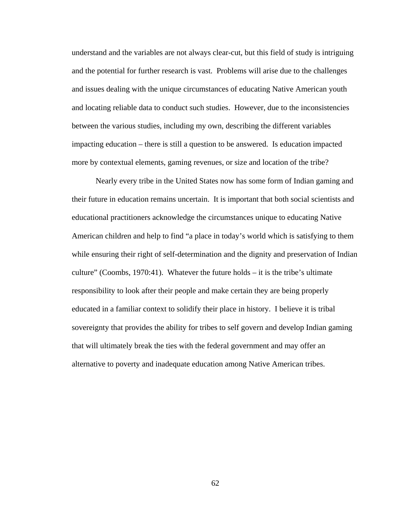understand and the variables are not always clear-cut, but this field of study is intriguing and the potential for further research is vast. Problems will arise due to the challenges and issues dealing with the unique circumstances of educating Native American youth and locating reliable data to conduct such studies. However, due to the inconsistencies between the various studies, including my own, describing the different variables impacting education – there is still a question to be answered. Is education impacted more by contextual elements, gaming revenues, or size and location of the tribe?

Nearly every tribe in the United States now has some form of Indian gaming and their future in education remains uncertain. It is important that both social scientists and educational practitioners acknowledge the circumstances unique to educating Native American children and help to find "a place in today's world which is satisfying to them while ensuring their right of self-determination and the dignity and preservation of Indian culture" (Coombs, 1970:41). Whatever the future holds – it is the tribe's ultimate responsibility to look after their people and make certain they are being properly educated in a familiar context to solidify their place in history. I believe it is tribal sovereignty that provides the ability for tribes to self govern and develop Indian gaming that will ultimately break the ties with the federal government and may offer an alternative to poverty and inadequate education among Native American tribes.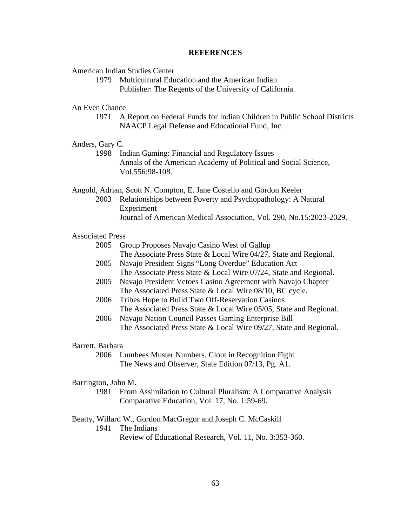### **REFERENCES**

American Indian Studies Center

1979 Multicultural Education and the American Indian Publisher: The Regents of the University of California.

An Even Chance

1971 A Report on Federal Funds for Indian Children in Public School Districts NAACP Legal Defense and Educational Fund, Inc.

## Anders, Gary C.

1998 Indian Gaming: Financial and Regulatory Issues Annals of the American Academy of Political and Social Science, Vol.556:98-108.

Angold, Adrian, Scott N. Compton, E. Jane Costello and Gordon Keeler

2003 Relationships between Poverty and Psychopathology: A Natural Experiment Journal of American Medical Association, Vol. 290, No.15:2023-2029.

#### Associated Press

- 2005 Group Proposes Navajo Casino West of Gallup The Associate Press State & Local Wire 04/27, State and Regional.
- 2005 Navajo President Signs "Long Overdue" Education Act The Associate Press State & Local Wire 07/24, State and Regional.
- 2005 Navajo President Vetoes Casino Agreement with Navajo Chapter The Associated Press State & Local Wire 08/10, BC cycle.
- 2006 Tribes Hope to Build Two Off-Reservation Casinos The Associated Press State & Local Wire 05/05, State and Regional.
- 2006 Navajo Nation Council Passes Gaming Enterprise Bill The Associated Press State & Local Wire 09/27, State and Regional.

### Barrett, Barbara

2006 Lumbees Muster Numbers, Clout in Recognition Fight The News and Observer, State Edition 07/13, Pg. A1.

#### Barrington, John M.

1981 From Assimilation to Cultural Pluralism: A Comparative Analysis Comparative Education, Vol. 17, No. 1:59-69.

## Beatty, Willard W., Gordon MacGregor and Joseph C. McCaskill

1941 The Indians

Review of Educational Research, Vol. 11, No. 3:353-360.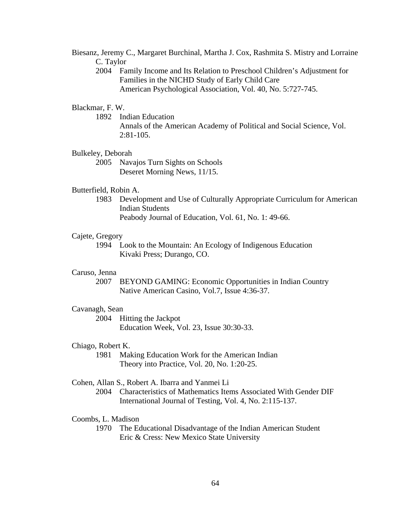- Biesanz, Jeremy C., Margaret Burchinal, Martha J. Cox, Rashmita S. Mistry and Lorraine C. Taylor
	- 2004 Family Income and Its Relation to Preschool Children's Adjustment for Families in the NICHD Study of Early Child Care American Psychological Association, Vol. 40, No. 5:727-745.

### Blackmar, F. W.

1892 Indian Education

Annals of the American Academy of Political and Social Science, Vol.  $2:81-105$ .

# Bulkeley, Deborah

2005 Navajos Turn Sights on Schools Deseret Morning News, 11/15.

## Butterfield, Robin A.

1983 Development and Use of Culturally Appropriate Curriculum for American Indian Students Peabody Journal of Education, Vol. 61, No. 1: 49-66.

#### Cajete, Gregory

1994 Look to the Mountain: An Ecology of Indigenous Education Kivaki Press; Durango, CO.

## Caruso, Jenna

2007 BEYOND GAMING: Economic Opportunities in Indian Country Native American Casino, Vol.7, Issue 4:36-37.

#### Cavanagh, Sean

2004 Hitting the Jackpot Education Week, Vol. 23, Issue 30:30-33.

#### Chiago, Robert K.

1981 Making Education Work for the American Indian Theory into Practice, Vol. 20, No. 1:20-25.

### Cohen, Allan S., Robert A. Ibarra and Yanmei Li

2004 Characteristics of Mathematics Items Associated With Gender DIF International Journal of Testing, Vol. 4, No. 2:115-137.

#### Coombs, L. Madison

 1970 The Educational Disadvantage of the Indian American Student Eric & Cress: New Mexico State University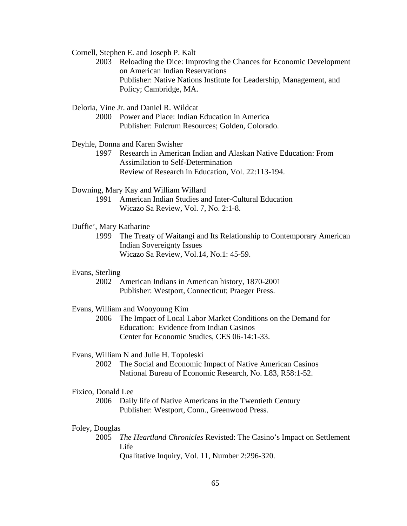Cornell, Stephen E. and Joseph P. Kalt

 2003 Reloading the Dice: Improving the Chances for Economic Development on American Indian Reservations Publisher: Native Nations Institute for Leadership, Management, and Policy; Cambridge, MA.

Deloria, Vine Jr. and Daniel R. Wildcat

2000 Power and Place: Indian Education in America Publisher: Fulcrum Resources; Golden, Colorado.

Deyhle, Donna and Karen Swisher

1997 Research in American Indian and Alaskan Native Education: From Assimilation to Self-Determination Review of Research in Education, Vol. 22:113-194.

Downing, Mary Kay and William Willard

1991 American Indian Studies and Inter-Cultural Education Wicazo Sa Review, Vol. 7, No. 2:1-8.

Duffie', Mary Katharine

1999 The Treaty of Waitangi and Its Relationship to Contemporary American Indian Sovereignty Issues Wicazo Sa Review, Vol.14, No.1: 45-59.

# Evans, Sterling

2002 American Indians in American history, 1870-2001 Publisher: Westport, Connecticut; Praeger Press.

## Evans, William and Wooyoung Kim

2006 The Impact of Local Labor Market Conditions on the Demand for Education: Evidence from Indian Casinos Center for Economic Studies, CES 06-14:1-33.

#### Evans, William N and Julie H. Topoleski

2002 The Social and Economic Impact of Native American Casinos National Bureau of Economic Research, No. L83, R58:1-52.

#### Fixico, Donald Lee

2006 Daily life of Native Americans in the Twentieth Century Publisher: Westport, Conn., Greenwood Press.

## Foley, Douglas

2005 *The Heartland Chronicles* Revisted: The Casino's Impact on Settlement Life Qualitative Inquiry, Vol. 11, Number 2:296-320.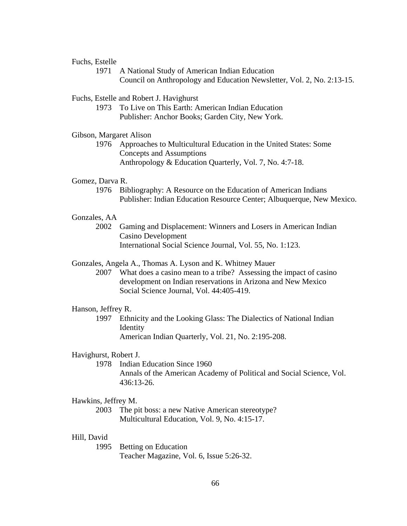## Fuchs, Estelle

1971 A National Study of American Indian Education Council on Anthropology and Education Newsletter, Vol. 2, No. 2:13-15.

### Fuchs, Estelle and Robert J. Havighurst

1973 To Live on This Earth: American Indian Education Publisher: Anchor Books; Garden City, New York.

## Gibson, Margaret Alison

1976 Approaches to Multicultural Education in the United States: Some Concepts and Assumptions Anthropology & Education Quarterly, Vol. 7, No. 4:7-18.

# Gomez, Darva R.

1976 Bibliography: A Resource on the Education of American Indians Publisher: Indian Education Resource Center; Albuquerque, New Mexico.

# Gonzales, AA

2002 Gaming and Displacement: Winners and Losers in American Indian Casino Development International Social Science Journal, Vol. 55, No. 1:123.

#### Gonzales, Angela A., Thomas A. Lyson and K. Whitney Mauer

2007 What does a casino mean to a tribe? Assessing the impact of casino development on Indian reservations in Arizona and New Mexico Social Science Journal, Vol. 44:405-419.

#### Hanson, Jeffrey R.

1997 Ethnicity and the Looking Glass: The Dialectics of National Indian Identity American Indian Quarterly, Vol. 21, No. 2:195-208.

### Havighurst, Robert J.

1978 Indian Education Since 1960 Annals of the American Academy of Political and Social Science, Vol. 436:13-26.

#### Hawkins, Jeffrey M.

2003 The pit boss: a new Native American stereotype? Multicultural Education, Vol. 9, No. 4:15-17.

#### Hill, David

1995 Betting on Education Teacher Magazine, Vol. 6, Issue 5:26-32.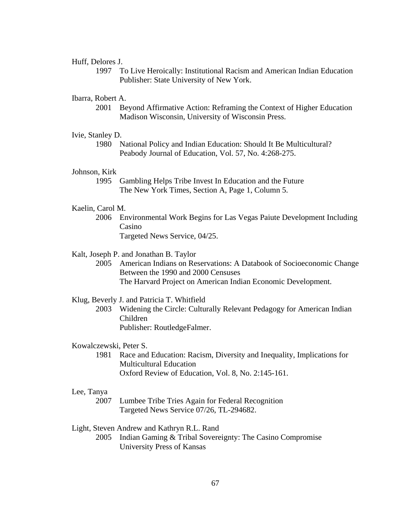### Huff, Delores J.

1997 To Live Heroically: Institutional Racism and American Indian Education Publisher: State University of New York.

# Ibarra, Robert A.

 2001 Beyond Affirmative Action: Reframing the Context of Higher Education Madison Wisconsin, University of Wisconsin Press.

## Ivie, Stanley D.

1980 National Policy and Indian Education: Should It Be Multicultural? Peabody Journal of Education, Vol. 57, No. 4:268-275.

# Johnson, Kirk

1995 Gambling Helps Tribe Invest In Education and the Future The New York Times, Section A, Page 1, Column 5.

## Kaelin, Carol M.

2006 Environmental Work Begins for Las Vegas Paiute Development Including Casino Targeted News Service, 04/25.

#### Kalt, Joseph P. and Jonathan B. Taylor

 2005 American Indians on Reservations: A Databook of Socioeconomic Change Between the 1990 and 2000 Censuses The Harvard Project on American Indian Economic Development.

#### Klug, Beverly J. and Patricia T. Whitfield

 2003 Widening the Circle: Culturally Relevant Pedagogy for American Indian Children Publisher: RoutledgeFalmer.

#### Kowalczewski, Peter S.

1981 Race and Education: Racism, Diversity and Inequality, Implications for Multicultural Education Oxford Review of Education, Vol. 8, No. 2:145-161.

#### Lee, Tanya

2007 Lumbee Tribe Tries Again for Federal Recognition Targeted News Service 07/26, TL-294682.

### Light, Steven Andrew and Kathryn R.L. Rand

 2005 Indian Gaming & Tribal Sovereignty: The Casino Compromise University Press of Kansas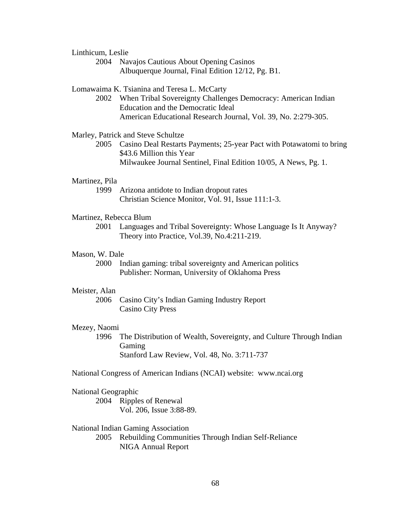Linthicum, Leslie

2004 Navajos Cautious About Opening Casinos Albuquerque Journal, Final Edition 12/12, Pg. B1.

## Lomawaima K. Tsianina and Teresa L. McCarty

 2002 When Tribal Sovereignty Challenges Democracy: American Indian Education and the Democratic Ideal American Educational Research Journal, Vol. 39, No. 2:279-305.

## Marley, Patrick and Steve Schultze

2005 Casino Deal Restarts Payments; 25-year Pact with Potawatomi to bring \$43.6 Million this Year Milwaukee Journal Sentinel, Final Edition 10/05, A News, Pg. 1.

# Martinez, Pila

1999 Arizona antidote to Indian dropout rates Christian Science Monitor, Vol. 91, Issue 111:1-3.

## Martinez, Rebecca Blum

2001 Languages and Tribal Sovereignty: Whose Language Is It Anyway? Theory into Practice, Vol.39, No.4:211-219.

#### Mason, W. Dale

2000 Indian gaming: tribal sovereignty and American politics Publisher: Norman, University of Oklahoma Press

#### Meister, Alan

 2006 Casino City's Indian Gaming Industry Report Casino City Press

#### Mezey, Naomi

1996 The Distribution of Wealth, Sovereignty, and Culture Through Indian Gaming Stanford Law Review, Vol. 48, No. 3:711-737

National Congress of American Indians (NCAI) website: www.ncai.org

## National Geographic

 2004 Ripples of Renewal Vol. 206, Issue 3:88-89.

### National Indian Gaming Association

 2005 Rebuilding Communities Through Indian Self-Reliance NIGA Annual Report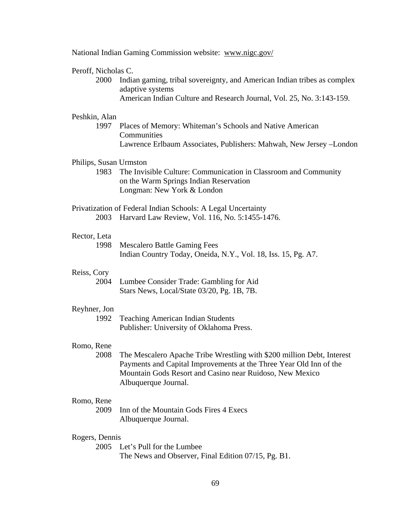| National Indian Gaming Commission website: www.nigc.gov/ |                                                                                                                                                                                                                                  |
|----------------------------------------------------------|----------------------------------------------------------------------------------------------------------------------------------------------------------------------------------------------------------------------------------|
| Peroff, Nicholas C.<br>2000                              | Indian gaming, tribal sovereignty, and American Indian tribes as complex<br>adaptive systems<br>American Indian Culture and Research Journal, Vol. 25, No. 3:143-159.                                                            |
| Peshkin, Alan<br>1997                                    | Places of Memory: Whiteman's Schools and Native American<br>Communities<br>Lawrence Erlbaum Associates, Publishers: Mahwah, New Jersey - London                                                                                  |
| Philips, Susan Urmston<br>1983                           | The Invisible Culture: Communication in Classroom and Community<br>on the Warm Springs Indian Reservation<br>Longman: New York & London                                                                                          |
| 2003                                                     | Privatization of Federal Indian Schools: A Legal Uncertainty<br>Harvard Law Review, Vol. 116, No. 5:1455-1476.                                                                                                                   |
| Rector, Leta<br>1998                                     | <b>Mescalero Battle Gaming Fees</b><br>Indian Country Today, Oneida, N.Y., Vol. 18, Iss. 15, Pg. A7.                                                                                                                             |
| Reiss, Cory<br>2004                                      | Lumbee Consider Trade: Gambling for Aid<br>Stars News, Local/State 03/20, Pg. 1B, 7B.                                                                                                                                            |
| Reyhner, Jon<br>1992                                     | <b>Teaching American Indian Students</b><br>Publisher: University of Oklahoma Press.                                                                                                                                             |
| Romo, Rene<br>2008                                       | The Mescalero Apache Tribe Wrestling with \$200 million Debt, Interest<br>Payments and Capital Improvements at the Three Year Old Inn of the<br>Mountain Gods Resort and Casino near Ruidoso, New Mexico<br>Albuquerque Journal. |
| Romo, Rene<br>2009                                       | Inn of the Mountain Gods Fires 4 Execs<br>Albuquerque Journal.                                                                                                                                                                   |
| Rogers, Dennis<br>2005                                   | Let's Pull for the Lumbee<br>The News and Observer, Final Edition 07/15, Pg. B1.                                                                                                                                                 |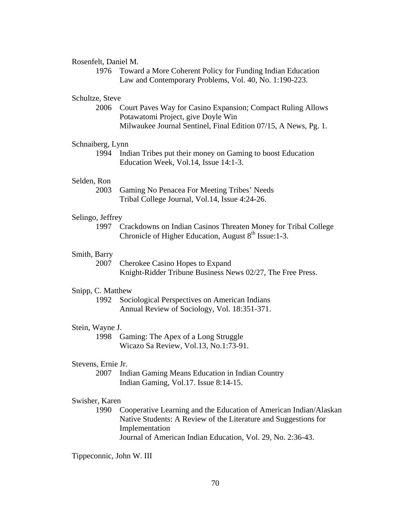### Rosenfelt, Daniel M.

1976 Toward a More Coherent Policy for Funding Indian Education Law and Contemporary Problems, Vol. 40, No. 1:190-223.

### Schultze, Steve

2006 Court Paves Way for Casino Expansion; Compact Ruling Allows Potawatomi Project, give Doyle Win Milwaukee Journal Sentinel, Final Edition 07/15, A News, Pg. 1.

### Schnaiberg, Lynn

1994 Indian Tribes put their money on Gaming to boost Education Education Week, Vol.14, Issue 14:1-3.

## Selden, Ron

2003 Gaming No Penacea For Meeting Tribes' Needs Tribal College Journal, Vol.14, Issue 4:24-26.

### Selingo, Jeffrey

1997 Crackdowns on Indian Casinos Threaten Money for Tribal College Chronicle of Higher Education, August  $8<sup>th</sup>$  Issue:1-3.

#### Smith, Barry

2007 Cherokee Casino Hopes to Expand Knight-Ridder Tribune Business News 02/27, The Free Press.

#### Snipp, C. Matthew

1992 Sociological Perspectives on American Indians Annual Review of Sociology, Vol. 18:351-371.

#### Stein, Wayne J.

1998 Gaming: The Apex of a Long Struggle Wicazo Sa Review, Vol.13, No.1:73-91.

### Stevens, Ernie Jr.

2007 Indian Gaming Means Education in Indian Country Indian Gaming, Vol.17. Issue 8:14-15.

#### Swisher, Karen

 1990 Cooperative Learning and the Education of American Indian/Alaskan Native Students: A Review of the Literature and Suggestions for Implementation Journal of American Indian Education, Vol. 29, No. 2:36-43.

Tippeconnic, John W. III